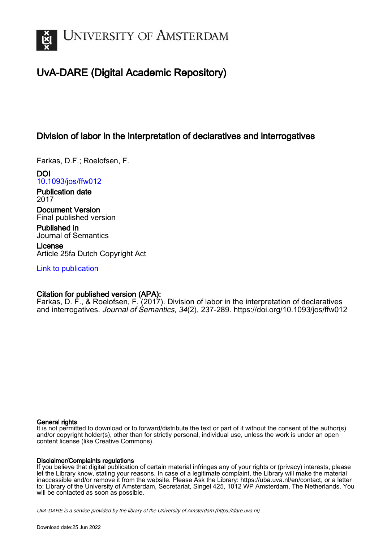

# UvA-DARE (Digital Academic Repository)

# Division of labor in the interpretation of declaratives and interrogatives

Farkas, D.F.; Roelofsen, F.

DOI [10.1093/jos/ffw012](https://doi.org/10.1093/jos/ffw012)

Publication date 2017

Document Version Final published version

Published in Journal of Semantics

License Article 25fa Dutch Copyright Act

[Link to publication](https://dare.uva.nl/personal/pure/en/publications/division-of-labor-in-the-interpretation-of-declaratives-and-interrogatives(4c282fa1-ac28-49ae-9136-0acb82a5db0a).html)

# Citation for published version (APA):

Farkas, D. F., & Roelofsen, F. (2017). Division of labor in the interpretation of declaratives and interrogatives. Journal of Semantics, 34(2), 237-289. <https://doi.org/10.1093/jos/ffw012>

# General rights

It is not permitted to download or to forward/distribute the text or part of it without the consent of the author(s) and/or copyright holder(s), other than for strictly personal, individual use, unless the work is under an open content license (like Creative Commons).

# Disclaimer/Complaints regulations

If you believe that digital publication of certain material infringes any of your rights or (privacy) interests, please let the Library know, stating your reasons. In case of a legitimate complaint, the Library will make the material inaccessible and/or remove it from the website. Please Ask the Library: https://uba.uva.nl/en/contact, or a letter to: Library of the University of Amsterdam, Secretariat, Singel 425, 1012 WP Amsterdam, The Netherlands. You will be contacted as soon as possible.

UvA-DARE is a service provided by the library of the University of Amsterdam (http*s*://dare.uva.nl)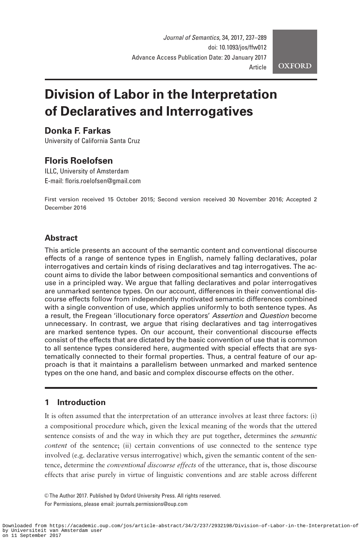Journal of Semantics, 34, 2017, 237–289 doi: 10.1093/jos/ffw012 Advance Access Publication Date: 20 January 2017 Article

**OXFORD** 

# Division of Labor in the Interpretation of Declaratives and Interrogatives

# Donka F. Farkas

University of California Santa Cruz

# Floris Roelofsen

ILLC, University of Amsterdam E-mail: floris.roelofsen@gmail.com

First version received 15 October 2015; Second version received 30 November 2016; Accepted 2 December 2016

# **Abstract**

This article presents an account of the semantic content and conventional discourse effects of a range of sentence types in English, namely falling declaratives, polar interrogatives and certain kinds of rising declaratives and tag interrogatives. The account aims to divide the labor between compositional semantics and conventions of use in a principled way. We argue that falling declaratives and polar interrogatives are unmarked sentence types. On our account, differences in their conventional discourse effects follow from independently motivated semantic differences combined with a single convention of use, which applies uniformly to both sentence types. As a result, the Fregean 'illocutionary force operators' Assertion and Question become unnecessary. In contrast, we argue that rising declaratives and tag interrogatives are marked sentence types. On our account, their conventional discourse effects consist of the effects that are dictated by the basic convention of use that is common to all sentence types considered here, augmented with special effects that are systematically connected to their formal properties. Thus, a central feature of our approach is that it maintains a parallelism between unmarked and marked sentence types on the one hand, and basic and complex discourse effects on the other.

# 1 Introduction

It is often assumed that the interpretation of an utterance involves at least three factors: (i) a compositional procedure which, given the lexical meaning of the words that the uttered sentence consists of and the way in which they are put together, determines the *semantic* content of the sentence; (ii) certain conventions of use connected to the sentence type involved (e.g. declarative versus interrogative) which, given the semantic content of the sentence, determine the *conventional discourse effects* of the utterance, that is, those discourse effects that arise purely in virtue of linguistic conventions and are stable across different

© The Author 2017. Published by Oxford University Press. All rights reserved. For Permissions, please email: journals.permissions@oup.com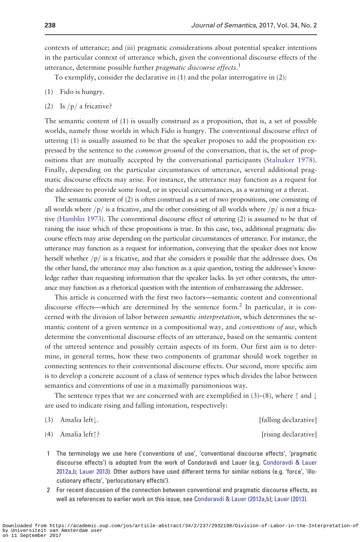contexts of utterance; and (iii) pragmatic considerations about potential speaker intentions in the particular context of utterance which, given the conventional discourse effects of the utterance, determine possible further pragmatic discourse effects.<sup>1</sup>

To exemplify, consider the declarative in (1) and the polar interrogative in (2):

- (1) Fido is hungry.
- (2) Is  $/p/$  a fricative?

The semantic content of (1) is usually construed as a proposition, that is, a set of possible worlds, namely those worlds in which Fido is hungry. The conventional discourse effect of uttering (1) is usually assumed to be that the speaker proposes to add the proposition expressed by the sentence to the *common ground* of the conversation, that is, the set of propositions that are mutually accepted by the conversational participants ([Stalnaker 1978](#page-53-0)). Finally, depending on the particular circumstances of utterance, several additional pragmatic discourse effects may arise. For instance, the utterance may function as a request for the addressee to provide some food, or in special circumstances, as a warning or a threat.

The semantic content of (2) is often construed as a set of two propositions, one consisting of all worlds where  $/p/$  is a fricative, and the other consisting of all worlds where  $/p/$  is not a fricative [\(Hamblin 1973\)](#page-52-0). The conventional discourse effect of uttering (2) is assumed to be that of raising the issue which of these propositions is true. In this case, too, additional pragmatic discourse effects may arise depending on the particular circumstances of utterance. For instance, the utterance may function as a request for information, conveying that the speaker does not know herself whether  $/p/$  is a fricative, and that she considers it possible that the addressee does. On the other hand, the utterance may also function as a quiz question, testing the addressee's knowledge rather than requesting information that the speaker lacks. In yet other contexts, the utterance may function as a rhetorical question with the intention of embarrassing the addressee.

This article is concerned with the first two factors—semantic content and conventional discourse effects—which are determined by the sentence form.<sup>2</sup> In particular, it is concerned with the division of labor between *semantic interpretation*, which determines the semantic content of a given sentence in a compositional way, and *conventions of use*, which determine the conventional discourse effects of an utterance, based on the semantic content of the uttered sentence and possibly certain aspects of its form. Our first aim is to determine, in general terms, how these two components of grammar should work together in connecting sentences to their conventional discourse effects. Our second, more specific aim is to develop a concrete account of a class of sentence types which divides the labor between semantics and conventions of use in a maximally parsimonious way.

The sentence types that we are concerned with are exemplified in (3)–(8), where  $\uparrow$  and  $\downarrow$ are used to indicate rising and falling intonation, respectively:

| $(3)$ Amalia left $\downarrow$ . | [falling declarative] |
|----------------------------------|-----------------------|
|                                  |                       |

(4) Amalia left $\uparrow$ ? [rising declarative]

- 1 The terminology we use here ('conventions of use', 'conventional discourse effects', 'pragmatic discourse effects') is adopted from the work of Condoravdi and Lauer (e.g. [Condoravdi](#page-51-0) [& Lauer](#page-51-0) [2012a](#page-51-0)[,b](#page-52-0); [Lauer 2013](#page-52-0)). Other authors have used different terms for similar notions (e.g. 'force', 'illocutionary effects', 'perlocutionary effects').
- 2 For recent discussion of the connection between conventional and pragmatic discourse effects, as well as references to earlier work on this issue, see [Condoravdi & Lauer \(2012a,](#page-51-0)[b](#page-52-0)); [Lauer \(2013\)](#page-52-0).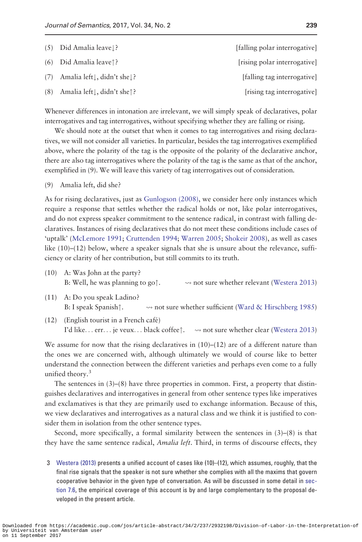|     | $(5)$ Did Amalia leave $\mathbf{R}$ | [falling polar interrogative] |
|-----|-------------------------------------|-------------------------------|
|     | $(6)$ Did Amalia leave ?            | [rising polar interrogative]  |
| (7) | Amalia left   didn't she   ?        | [falling tag interrogative]   |
| (8) | Amalia left⊥, didn't she†?          | [rising tag interrogative]    |

Whenever differences in intonation are irrelevant, we will simply speak of declaratives, polar interrogatives and tag interrogatives, without specifying whether they are falling or rising.

We should note at the outset that when it comes to tag interrogatives and rising declaratives, we will not consider all varieties. In particular, besides the tag interrogatives exemplified above, where the polarity of the tag is the opposite of the polarity of the declarative anchor, there are also tag interrogatives where the polarity of the tag is the same as that of the anchor, exemplified in (9). We will leave this variety of tag interrogatives out of consideration.

(9) Amalia left, did she?

As for rising declaratives, just as [Gunlogson \(2008\),](#page-52-0) we consider here only instances which require a response that settles whether the radical holds or not, like polar interrogatives, and do not express speaker commitment to the sentence radical, in contrast with falling declaratives. Instances of rising declaratives that do not meet these conditions include cases of 'uptalk' [\(McLemore 1991](#page-53-0); [Cruttenden 1994;](#page-52-0) [Warren 2005;](#page-53-0) [Shokeir 2008](#page-53-0)), as well as cases like (10)–(12) below, where a speaker signals that she is unsure about the relevance, sufficiency or clarity of her contribution, but still commits to its truth.

- (10) A: Was John at the party? B: Well, he was planning to go<sup> $\uparrow$ </sup>.  $\rightarrow$  not sure whether relevant [\(Westera 2013\)](#page-53-0)
- (11) A: Do you speak Ladino? B: I speak Spanish $\uparrow$ .  $\rightarrow$  not sure whether sufficient [\(Ward](#page-53-0) [& Hirschberg 1985\)](#page-53-0)
- $(12)$  (English tourist in a French café) I'd like... err... je veux... black coffee $\uparrow$ .  $\leadsto$  not sure whether clear [\(Westera 2013\)](#page-53-0)

We assume for now that the rising declaratives in  $(10)$ – $(12)$  are of a different nature than the ones we are concerned with, although ultimately we would of course like to better understand the connection between the different varieties and perhaps even come to a fully unified theory.<sup>3</sup>

The sentences in  $(3)$ – $(8)$  have three properties in common. First, a property that distinguishes declaratives and interrogatives in general from other sentence types like imperatives and exclamatives is that they are primarily used to exchange information. Because of this, we view declaratives and interrogatives as a natural class and we think it is justified to consider them in isolation from the other sentence types.

Second, more specifically, a formal similarity between the sentences in (3)–(8) is that they have the same sentence radical, *Amalia left*. Third, in terms of discourse effects, they

3 [Westera \(2013\)](#page-53-0) presents a unified account of cases like (10)–(12), which assumes, roughly, that the final rise signals that the speaker is not sure whether she complies with all the maxims that govern cooperative behavior in the given type of conversation. As will be discussed in some detail in section 7.6, the empirical coverage of this account is by and large complementary to the proposal developed in the present article.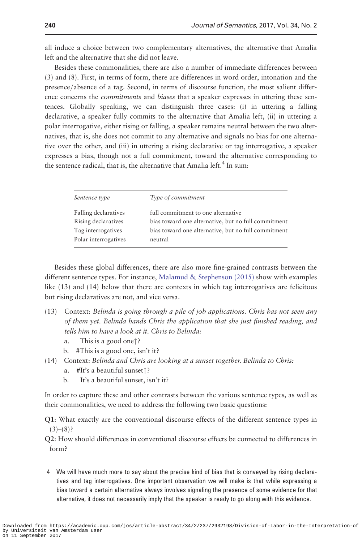all induce a choice between two complementary alternatives, the alternative that Amalia left and the alternative that she did not leave.

Besides these commonalities, there are also a number of immediate differences between (3) and (8). First, in terms of form, there are differences in word order, intonation and the presence/absence of a tag. Second, in terms of discourse function, the most salient difference concerns the *commitments* and *biases* that a speaker expresses in uttering these sentences. Globally speaking, we can distinguish three cases: (i) in uttering a falling declarative, a speaker fully commits to the alternative that Amalia left, (ii) in uttering a polar interrogative, either rising or falling, a speaker remains neutral between the two alternatives, that is, she does not commit to any alternative and signals no bias for one alternative over the other, and (iii) in uttering a rising declarative or tag interrogative, a speaker expresses a bias, though not a full commitment, toward the alternative corresponding to the sentence radical, that is, the alternative that Amalia left.<sup>4</sup> In sum:

| Sentence type        | Type of commitment                                  |
|----------------------|-----------------------------------------------------|
| Falling declaratives | full commitment to one alternative                  |
| Rising declaratives  | bias toward one alternative, but no full commitment |
| Tag interrogatives   | bias toward one alternative, but no full commitment |
| Polar interrogatives | neutral                                             |

Besides these global differences, there are also more fine-grained contrasts between the different sentence types. For instance, [Malamud](#page-53-0) [& Stephenson \(2015\)](#page-53-0) show with examples like (13) and (14) below that there are contexts in which tag interrogatives are felicitous but rising declaratives are not, and vice versa.

- (13) Context: Belinda is going through a pile of job applications. Chris has not seen any of them yet. Belinda hands Chris the application that she just finished reading, and tells him to have a look at it. Chris to Belinda:
	- a. This is a good one??
	- b. #This is a good one, isn't it?
- (14) Context: Belinda and Chris are looking at a sunset together. Belinda to Chris:
	- a. #It's a beautiful sunset?
	- b. It's a beautiful sunset, isn't it?

In order to capture these and other contrasts between the various sentence types, as well as their commonalities, we need to address the following two basic questions:

Q1: What exactly are the conventional discourse effects of the different sentence types in  $(3)–(8)$ ?

Q2: How should differences in conventional discourse effects be connected to differences in form?

4 We will have much more to say about the precise kind of bias that is conveyed by rising declaratives and tag interrogatives. One important observation we will make is that while expressing a bias toward a certain alternative always involves signaling the presence of some evidence for that alternative, it does not necessarily imply that the speaker is ready to go along with this evidence.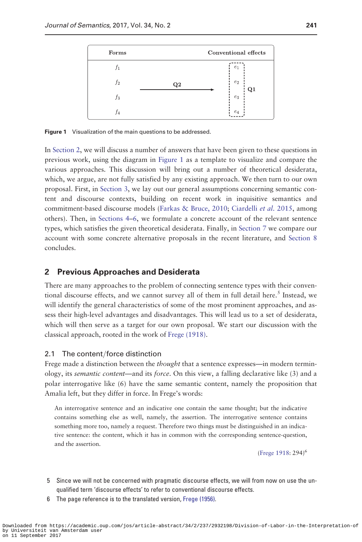| Forms          | Conventional effects |                |
|----------------|----------------------|----------------|
|                |                      | $e_1$          |
| $f_2$          | Q2                   | $e_2$<br>Q1    |
| $f_3$          |                      | $e_3$          |
| f <sub>4</sub> |                      | e <sub>4</sub> |

Figure 1 Visualization of the main questions to be addressed.

In Section 2, we will discuss a number of answers that have been given to these questions in previous work, using the diagram in Figure 1 as a template to visualize and compare the various approaches. This discussion will bring out a number of theoretical desiderata, which, we argue, are not fully satisfied by any existing approach. We then turn to our own proposal. First, in Section 3, we lay out our general assumptions concerning semantic content and discourse contexts, building on recent work in inquisitive semantics and commitment-based discourse models [\(Farkas & Bruce, 2010](#page-52-0); [Ciardelli](#page-51-0) et al. 2015, among others). Then, in Sections 4–6, we formulate a concrete account of the relevant sentence types, which satisfies the given theoretical desiderata. Finally, in Section 7 we compare our account with some concrete alternative proposals in the recent literature, and Section 8 concludes.

# 2 Previous Approaches and Desiderata

There are many approaches to the problem of connecting sentence types with their conventional discourse effects, and we cannot survey all of them in full detail here.<sup>5</sup> Instead, we will identify the general characteristics of some of the most prominent approaches, and assess their high-level advantages and disadvantages. This will lead us to a set of desiderata, which will then serve as a target for our own proposal. We start our discussion with the classical approach, rooted in the work of [Frege \(1918\).](#page-52-0)

## 2.1 The content/force distinction

Frege made a distinction between the *thought* that a sentence expresses—in modern terminology, its semantic content—and its force. On this view, a falling declarative like (3) and a polar interrogative like (6) have the same semantic content, namely the proposition that Amalia left, but they differ in force. In Frege's words:

An interrogative sentence and an indicative one contain the same thought; but the indicative contains something else as well, namely, the assertion. The interrogative sentence contains something more too, namely a request. Therefore two things must be distinguished in an indicative sentence: the content, which it has in common with the corresponding sentence-question, and the assertion.

([Frege 1918:](#page-52-0) 294)6

- 5 Since we will not be concerned with pragmatic discourse effects, we will from now on use the unqualified term 'discourse effects' to refer to conventional discourse effects.
- 6 The page reference is to the translated version, [Frege \(1956\).](#page-52-0)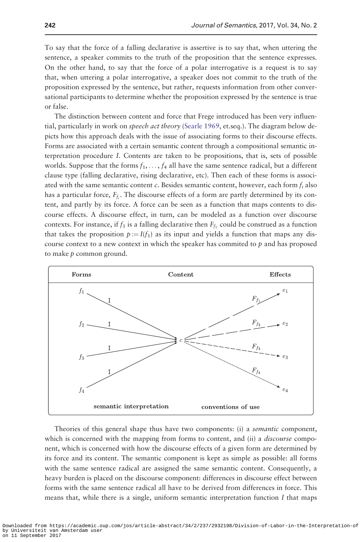To say that the force of a falling declarative is assertive is to say that, when uttering the sentence, a speaker commits to the truth of the proposition that the sentence expresses. On the other hand, to say that the force of a polar interrogative is a request is to say that, when uttering a polar interrogative, a speaker does not commit to the truth of the proposition expressed by the sentence, but rather, requests information from other conversational participants to determine whether the proposition expressed by the sentence is true or false.

The distinction between content and force that Frege introduced has been very influential, particularly in work on *speech act theory* ([Searle 1969](#page-53-0), et.seq.). The diagram below depicts how this approach deals with the issue of associating forms to their discourse effects. Forms are associated with a certain semantic content through a compositional semantic interpretation procedure I. Contents are taken to be propositions, that is, sets of possible worlds. Suppose that the forms  $f_1, \ldots, f_4$  all have the same sentence radical, but a different clause type (falling declarative, rising declarative, etc). Then each of these forms is associated with the same semantic content  $c$ . Besides semantic content, however, each form  $f_i$  also has a particular force,  $F_{f_i}$ . The discourse effects of a form are partly determined by its content, and partly by its force. A force can be seen as a function that maps contents to discourse effects. A discourse effect, in turn, can be modeled as a function over discourse contexts. For instance, if  $f_1$  is a falling declarative then  $F_f$  could be construed as a function that takes the proposition  $p := I(f_1)$  as its input and yields a function that maps any discourse context to a new context in which the speaker has commited to  $p$  and has proposed to make *p* common ground.



Theories of this general shape thus have two components: (i) a semantic component, which is concerned with the mapping from forms to content, and (ii) a *discourse* component, which is concerned with how the discourse effects of a given form are determined by its force and its content. The semantic component is kept as simple as possible: all forms with the same sentence radical are assigned the same semantic content. Consequently, a heavy burden is placed on the discourse component: differences in discourse effect between forms with the same sentence radical all have to be derived from differences in force. This means that, while there is a single, uniform semantic interpretation function  $I$  that maps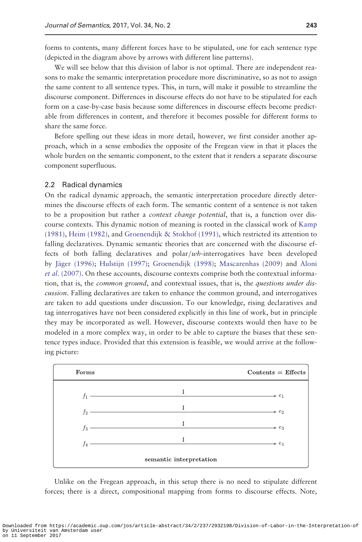forms to contents, many different forces have to be stipulated, one for each sentence type (depicted in the diagram above by arrows with different line patterns).

We will see below that this division of labor is not optimal. There are independent reasons to make the semantic interpretation procedure more discriminative, so as not to assign the same content to all sentence types. This, in turn, will make it possible to streamline the discourse component. Differences in discourse effects do not have to be stipulated for each form on a case-by-case basis because some differences in discourse effects become predictable from differences in content, and therefore it becomes possible for different forms to share the same force.

Before spelling out these ideas in more detail, however, we first consider another approach, which in a sense embodies the opposite of the Fregean view in that it places the whole burden on the semantic component, to the extent that it renders a separate discourse component superfluous.

# 2.2 Radical dynamics

On the radical dynamic approach, the semantic interpretation procedure directly determines the discourse effects of each form. The semantic content of a sentence is not taken to be a proposition but rather a *context change potential*, that is, a function over discourse contexts. This dynamic notion of meaning is rooted in the classical work of [Kamp](#page-52-0) [\(1981\)](#page-52-0), [Heim \(1982\),](#page-52-0) and [Groenendijk & Stokhof \(1991\)](#page-52-0), which restricted its attention to falling declaratives. Dynamic semantic theories that are concerned with the discourse effects of both falling declaratives and  $polar/wh\text{-}interrogatives$  have been developed by [J](#page-52-0)äger (1996); [Hulstijn \(1997\);](#page-52-0) [Groenendijk \(1998\);](#page-52-0) [Mascarenhas \(2009\)](#page-53-0) and [Aloni](#page-51-0) et al[. \(2007\).](#page-51-0) On these accounts, discourse contexts comprise both the contextual information, that is, the *common ground*, and contextual issues, that is, the *questions under dis*cussion. Falling declaratives are taken to enhance the common ground, and interrogatives are taken to add questions under discussion. To our knowledge, rising declaratives and tag interrogatives have not been considered explicitly in this line of work, but in principle they may be incorporated as well. However, discourse contexts would then have to be modeled in a more complex way, in order to be able to capture the biases that these sentence types induce. Provided that this extension is feasible, we would arrive at the following picture:



Unlike on the Fregean approach, in this setup there is no need to stipulate different forces; there is a direct, compositional mapping from forms to discourse effects. Note,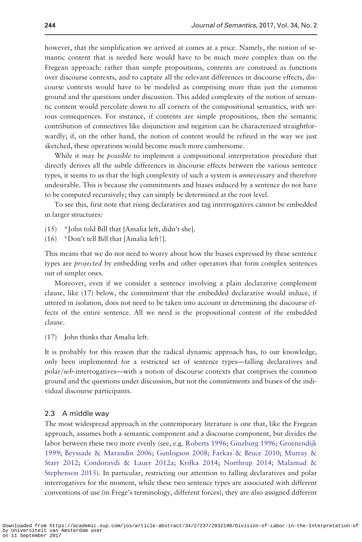however, that the simplification we arrived at comes at a price. Namely, the notion of semantic content that is needed here would have to be much more complex than on the Fregean approach: rather than simple propositions, contents are construed as functions over discourse contexts, and to capture all the relevant differences in discourse effects, discourse contexts would have to be modeled as comprising more than just the common ground and the questions under discussion. This added complexity of the notion of semantic content would percolate down to all corners of the compositional semantics, with serious consequences. For instance, if contents are simple propositions, then the semantic contribution of connectives like disjunction and negation can be characterized straightforwardly; if, on the other hand, the notion of content would be refined in the way we just sketched, these operations would become much more cumbersome.

While it may be *possible* to implement a compositional interpretation procedure that directly derives all the subtle differences in discourse effects between the various sentence types, it seems to us that the high complexity of such a system is *unnecessary* and therefore undesirable. This is because the commitments and biases induced by a sentence do not have to be computed recursively; they can simply be determined at the root level.

To see this, first note that rising declaratives and tag interrogatives cannot be embedded in larger structures:

- (15) \*John told Bill that [Amalia left, didn't she].
- (16) \*Don't tell Bill that [Amalia left $\uparrow$ ].

This means that we do not need to worry about how the biases expressed by these sentence types are *projected* by embedding verbs and other operators that form complex sentences out of simpler ones.

Moreover, even if we consider a sentence involving a plain declarative complement clause, like (17) below, the commitment that the embedded declarative would induce, if uttered in isolation, does not need to be taken into account in determining the discourse effects of the entire sentence. All we need is the propositional content of the embedded clause.

(17) John thinks that Amalia left.

It is probably for this reason that the radical dynamic approach has, to our knowledge, only been implemented for a restricted set of sentence types—falling declaratives and  $polar/wb\text{-}interrogatives$ —with a notion of discourse contexts that comprises the common ground and the questions under discussion, but not the commitments and biases of the individual discourse participants.

#### 2.3 A middle way

The most widespread approach in the contemporary literature is one that, like the Fregean approach, assumes both a semantic component and a discourse component, but divides the labor between these two more evenly (see, e.g. [Roberts 1996;](#page-53-0) [Ginzburg 1996](#page-52-0); [Groenendijk](#page-52-0) [1999](#page-52-0); [Beyssade](#page-51-0) [& Marandin 2006;](#page-51-0) [Gunlogson 2008;](#page-52-0) [Farkas & Bruce 2010](#page-52-0); [Murray &](#page-53-0) [Starr 2012;](#page-53-0) [Condoravdi](#page-51-0) [& Lauer 2012a;](#page-51-0) [Krifka 2014;](#page-52-0) [Northrup 2014](#page-53-0); [Malamud &](#page-53-0) [Stephenson 2015\)](#page-53-0). In particular, restricting our attention to falling declaratives and polar interrogatives for the moment, while these two sentence types are associated with different conventions of use (in Frege's terminology, different forces), they are also assigned different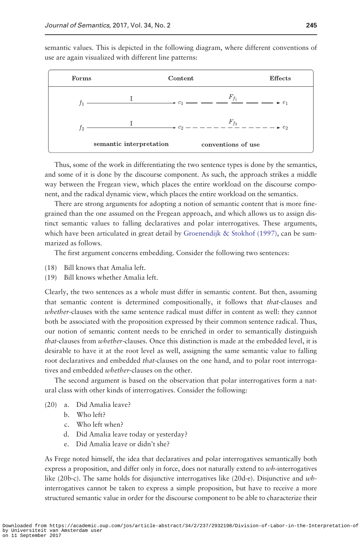Forms Content **Effects**  ${\cal F}_{f_1}$ T semantic interpretation conventions of use

semantic values. This is depicted in the following diagram, where different conventions of use are again visualized with different line patterns:

Thus, some of the work in differentiating the two sentence types is done by the semantics, and some of it is done by the discourse component. As such, the approach strikes a middle way between the Fregean view, which places the entire workload on the discourse component, and the radical dynamic view, which places the entire workload on the semantics.

There are strong arguments for adopting a notion of semantic content that is more finegrained than the one assumed on the Fregean approach, and which allows us to assign distinct semantic values to falling declaratives and polar interrogatives. These arguments, which have been articulated in great detail by [Groenendijk & Stokhof \(1997\),](#page-52-0) can be summarized as follows.

The first argument concerns embedding. Consider the following two sentences:

- (18) Bill knows that Amalia left.
- (19) Bill knows whether Amalia left.

Clearly, the two sentences as a whole must differ in semantic content. But then, assuming that semantic content is determined compositionally, it follows that that-clauses and whether-clauses with the same sentence radical must differ in content as well: they cannot both be associated with the proposition expressed by their common sentence radical. Thus, our notion of semantic content needs to be enriched in order to semantically distinguish that-clauses from *whether-clauses*. Once this distinction is made at the embedded level, it is desirable to have it at the root level as well, assigning the same semantic value to falling root declaratives and embedded that-clauses on the one hand, and to polar root interrogatives and embedded whether-clauses on the other.

The second argument is based on the observation that polar interrogatives form a natural class with other kinds of interrogatives. Consider the following:

- (20) a. Did Amalia leave?
	- b. Who left?
	- c. Who left when?
	- d. Did Amalia leave today or yesterday?
	- Did Amalia leave or didn't she?

As Frege noted himself, the idea that declaratives and polar interrogatives semantically both express a proposition, and differ only in force, does not naturally extend to *wh*-interrogatives like (20b-c). The same holds for disjunctive interrogatives like (20d-e). Disjunctive and  $wh$ interrogatives cannot be taken to express a simple proposition, but have to receive a more structured semantic value in order for the discourse component to be able to characterize their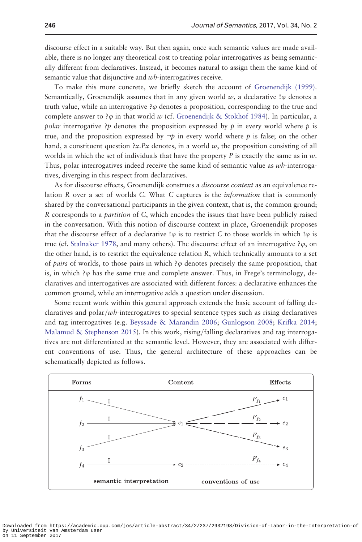discourse effect in a suitable way. But then again, once such semantic values are made available, there is no longer any theoretical cost to treating polar interrogatives as being semantically different from declaratives. Instead, it becomes natural to assign them the same kind of semantic value that disjunctive and wh-interrogatives receive.

To make this more concrete, we briefly sketch the account of [Groenendijk \(1999\)](#page-52-0). Semantically, Groenendijk assumes that in any given world  $w$ , a declarative ! $\varphi$  denotes a truth value, while an interrogative ? $\varphi$  denotes a proposition, corresponding to the true and complete answer to ? $\varphi$  in that world w (cf. [Groenendijk](#page-52-0) [& Stokhof 1984\)](#page-52-0). In particular, a polar interrogative ?p denotes the proposition expressed by p in every world where p is true, and the proposition expressed by  $\neg p$  in every world where p is false; on the other hand, a constituent question  $\lambda x.Px$  denotes, in a world w, the proposition consisting of all worlds in which the set of individuals that have the property P is exactly the same as in  $w$ . Thus, polar interrogatives indeed receive the same kind of semantic value as  $wh$ -interrogatives, diverging in this respect from declaratives.

As for discourse effects, Groenendijk construes a discourse context as an equivalence relation R over a set of worlds C. What C captures is the information that is commonly shared by the conversational participants in the given context, that is, the common ground; R corresponds to a partition of C, which encodes the issues that have been publicly raised in the conversation. With this notion of discourse context in place, Groenendijk proposes that the discourse effect of a declarative ! $\varphi$  is to restrict C to those worlds in which ! $\varphi$  is true (cf. [Stalnaker 1978](#page-53-0), and many others). The discourse effect of an interrogative  $?$  $\varphi$ , on the other hand, is to restrict the equivalence relation  $R$ , which technically amounts to a set of pairs of worlds, to those pairs in which ? $\varphi$  denotes precisely the same proposition, that is, in which  $\partial \varphi$  has the same true and complete answer. Thus, in Frege's terminology, declaratives and interrogatives are associated with different forces: a declarative enhances the common ground, while an interrogative adds a question under discussion.

Some recent work within this general approach extends the basic account of falling declaratives and polar $/wb$ -interrogatives to special sentence types such as rising declaratives and tag interrogatives (e.g. [Beyssade](#page-51-0) [& Marandin 2006;](#page-51-0) [Gunlogson 2008;](#page-52-0) [Krifka 2014](#page-52-0); [Malamud](#page-53-0) [& Stephenson 2015\)](#page-53-0). In this work, rising/falling declaratives and tag interrogatives are not differentiated at the semantic level. However, they are associated with different conventions of use. Thus, the general architecture of these approaches can be schematically depicted as follows.

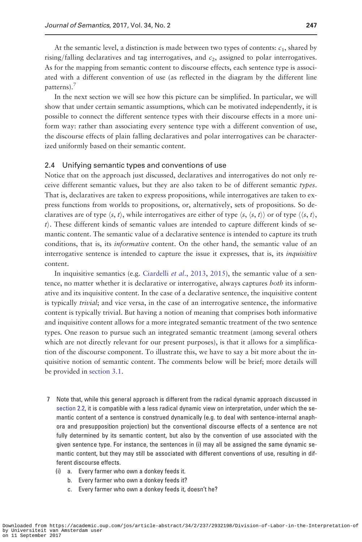At the semantic level, a distinction is made between two types of contents:  $c_1$ , shared by rising/falling declaratives and tag interrogatives, and  $c_2$ , assigned to polar interrogatives. As for the mapping from semantic content to discourse effects, each sentence type is associated with a different convention of use (as reflected in the diagram by the different line patterns). $<sup>7</sup>$ </sup>

In the next section we will see how this picture can be simplified. In particular, we will show that under certain semantic assumptions, which can be motivated independently, it is possible to connect the different sentence types with their discourse effects in a more uniform way: rather than associating every sentence type with a different convention of use, the discourse effects of plain falling declaratives and polar interrogatives can be characterized uniformly based on their semantic content.

# 2.4 Unifying semantic types and conventions of use

Notice that on the approach just discussed, declaratives and interrogatives do not only receive different semantic values, but they are also taken to be of different semantic types. That is, declaratives are taken to express propositions, while interrogatives are taken to express functions from worlds to propositions, or, alternatively, sets of propositions. So declaratives are of type  $\langle s, t \rangle$ , while interrogatives are either of type  $\langle s, \langle s, t \rangle$  or of type  $\langle \langle s, t \rangle$ ,  $t$ ). These different kinds of semantic values are intended to capture different kinds of semantic content. The semantic value of a declarative sentence is intended to capture its truth conditions, that is, its *informative* content. On the other hand, the semantic value of an interrogative sentence is intended to capture the issue it expresses, that is, its *inquisitive* content.

In inquisitive semantics (e.g. [Ciardelli](#page-51-0) et al., 2013, [2015\)](#page-51-0), the semantic value of a sentence, no matter whether it is declarative or interrogative, always captures both its informative and its inquisitive content. In the case of a declarative sentence, the inquisitive content is typically *trivial*; and vice versa, in the case of an interrogative sentence, the informative content is typically trivial. But having a notion of meaning that comprises both informative and inquisitive content allows for a more integrated semantic treatment of the two sentence types. One reason to pursue such an integrated semantic treatment (among several others which are not directly relevant for our present purposes), is that it allows for a simplification of the discourse component. To illustrate this, we have to say a bit more about the inquisitive notion of semantic content. The comments below will be brief; more details will be provided in section 3.1.

- 7 Note that, while this general approach is different from the radical dynamic approach discussed in section 2.2, it is compatible with a less radical dynamic view on interpretation, under which the semantic content of a sentence is construed dynamically (e.g. to deal with sentence-internal anaphora and presupposition projection) but the conventional discourse effects of a sentence are not fully determined by its semantic content, but also by the convention of use associated with the given sentence type. For instance, the sentences in (i) may all be assigned the same dynamic semantic content, but they may still be associated with different conventions of use, resulting in different discourse effects.
	- (i) a. Every farmer who own a donkey feeds it.
		- b. Every farmer who own a donkey feeds it?
		- c. Every farmer who own a donkey feeds it, doesn't he?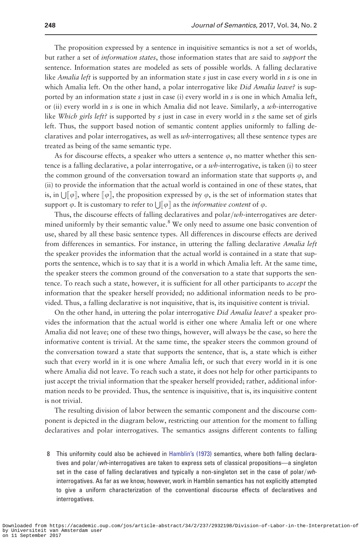The proposition expressed by a sentence in inquisitive semantics is not a set of worlds, but rather a set of *information states*, those information states that are said to *support* the sentence. Information states are modeled as sets of possible worlds. A falling declarative like *Amalia left* is supported by an information state s just in case every world in s is one in which Amalia left. On the other hand, a polar interrogative like Did Amalia leave? is supported by an information state s just in case (i) every world in s is one in which Amalia left, or (ii) every world in s is one in which Amalia did not leave. Similarly, a  $wh$ -interrogative like Which girls left? is supported by s just in case in every world in s the same set of girls left. Thus, the support based notion of semantic content applies uniformly to falling declaratives and polar interrogatives, as well as  $wh$ -interrogatives; all these sentence types are treated as being of the same semantic type.

As for discourse effects, a speaker who utters a sentence  $\varphi$ , no matter whether this sentence is a falling declarative, a polar interrogative, or a wh-interrogative, is taken (i) to steer the common ground of the conversation toward an information state that supports  $\varphi$ , and (ii) to provide the information that the actual world is contained in one of these states, that is, in  $\|\psi\|$ , where  $\|\varphi\|$ , the proposition expressed by  $\varphi$ , is the set of information states that support  $\varphi$ . It is customary to refer to  $\iiint \varphi \, d\theta$  as the *informative content* of  $\varphi$ .

Thus, the discourse effects of falling declaratives and polar/ $wb$ -interrogatives are determined uniformly by their semantic value.<sup>8</sup> We only need to assume one basic convention of use, shared by all these basic sentence types. All differences in discourse effects are derived from differences in semantics. For instance, in uttering the falling declarative Amalia left the speaker provides the information that the actual world is contained in a state that supports the sentence, which is to say that it is a world in which Amalia left. At the same time, the speaker steers the common ground of the conversation to a state that supports the sentence. To reach such a state, however, it is sufficient for all other participants to *accept* the information that the speaker herself provided; no additional information needs to be provided. Thus, a falling declarative is not inquisitive, that is, its inquisitive content is trivial.

On the other hand, in uttering the polar interrogative Did Amalia leave? a speaker provides the information that the actual world is either one where Amalia left or one where Amalia did not leave; one of these two things, however, will always be the case, so here the informative content is trivial. At the same time, the speaker steers the common ground of the conversation toward a state that supports the sentence, that is, a state which is either such that every world in it is one where Amalia left, or such that every world in it is one where Amalia did not leave. To reach such a state, it does not help for other participants to just accept the trivial information that the speaker herself provided; rather, additional information needs to be provided. Thus, the sentence is inquisitive, that is, its inquisitive content is not trivial.

The resulting division of labor between the semantic component and the discourse component is depicted in the diagram below, restricting our attention for the moment to falling declaratives and polar interrogatives. The semantics assigns different contents to falling

<sup>8</sup> This uniformity could also be achieved in [Hamblin's \(1973\)](#page-52-0) semantics, where both falling declaratives and polar/wh-interrogatives are taken to express sets of classical propositions—a singleton set in the case of falling declaratives and typically a non-singleton set in the case of polar/ $wh$ interrogatives. As far as we know, however, work in Hamblin semantics has not explicitly attempted to give a uniform characterization of the conventional discourse effects of declaratives and interrogatives.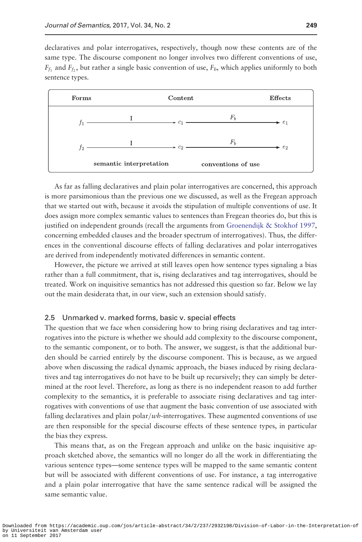declaratives and polar interrogatives, respectively, though now these contents are of the same type. The discourse component no longer involves two different conventions of use,  $F_f$  and  $F_f$ , but rather a single basic convention of use,  $F_b$ , which applies uniformly to both sentence types.



As far as falling declaratives and plain polar interrogatives are concerned, this approach is more parsimonious than the previous one we discussed, as well as the Fregean approach that we started out with, because it avoids the stipulation of multiple conventions of use. It does assign more complex semantic values to sentences than Fregean theories do, but this is justified on independent grounds (recall the arguments from [Groenendijk & Stokhof 1997](#page-52-0), concerning embedded clauses and the broader spectrum of interrogatives). Thus, the differences in the conventional discourse effects of falling declaratives and polar interrogatives are derived from independently motivated differences in semantic content.

However, the picture we arrived at still leaves open how sentence types signaling a bias rather than a full commitment, that is, rising declaratives and tag interrogatives, should be treated. Work on inquisitive semantics has not addressed this question so far. Below we lay out the main desiderata that, in our view, such an extension should satisfy.

### 2.5 Unmarked v. marked forms, basic v. special effects

The question that we face when considering how to bring rising declaratives and tag interrogatives into the picture is whether we should add complexity to the discourse component, to the semantic component, or to both. The answer, we suggest, is that the additional burden should be carried entirely by the discourse component. This is because, as we argued above when discussing the radical dynamic approach, the biases induced by rising declaratives and tag interrogatives do not have to be built up recursively; they can simply be determined at the root level. Therefore, as long as there is no independent reason to add further complexity to the semantics, it is preferable to associate rising declaratives and tag interrogatives with conventions of use that augment the basic convention of use associated with falling declaratives and plain polar/ $w$ *b*-interrogatives. These augmented conventions of use are then responsible for the special discourse effects of these sentence types, in particular the bias they express.

This means that, as on the Fregean approach and unlike on the basic inquisitive approach sketched above, the semantics will no longer do all the work in differentiating the various sentence types—some sentence types will be mapped to the same semantic content but will be associated with different conventions of use. For instance, a tag interrogative and a plain polar interrogative that have the same sentence radical will be assigned the same semantic value.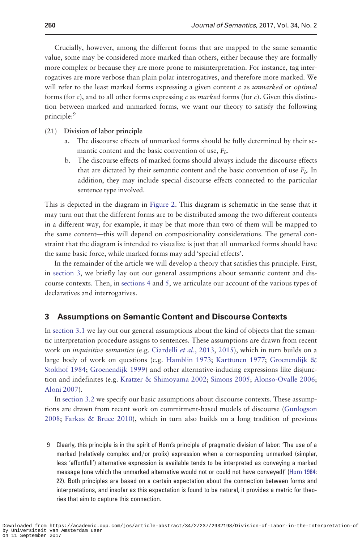Crucially, however, among the different forms that are mapped to the same semantic value, some may be considered more marked than others, either because they are formally more complex or because they are more prone to misinterpretation. For instance, tag interrogatives are more verbose than plain polar interrogatives, and therefore more marked. We will refer to the least marked forms expressing a given content  $c$  as *unmarked* or *optimal* forms (for c), and to all other forms expressing c as *marked* forms (for c). Given this distinction between marked and unmarked forms, we want our theory to satisfy the following principle:<sup>9</sup>

#### (21) Division of labor principle

- a. The discourse effects of unmarked forms should be fully determined by their semantic content and the basic convention of use,  $F_b$ .
- b. The discourse effects of marked forms should always include the discourse effects that are dictated by their semantic content and the basic convention of use  $F_b$ . In addition, they may include special discourse effects connected to the particular sentence type involved.

This is depicted in the diagram in [Figure 2.](#page-15-0) This diagram is schematic in the sense that it may turn out that the different forms are to be distributed among the two different contents in a different way, for example, it may be that more than two of them will be mapped to the same content—this will depend on compositionality considerations. The general constraint that the diagram is intended to visualize is just that all unmarked forms should have the same basic force, while marked forms may add 'special effects'.

In the remainder of the article we will develop a theory that satisfies this principle. First, in section 3, we briefly lay out our general assumptions about semantic content and discourse contexts. Then, in sections 4 and 5, we articulate our account of the various types of declaratives and interrogatives.

# 3 Assumptions on Semantic Content and Discourse Contexts

In section 3.1 we lay out our general assumptions about the kind of objects that the semantic interpretation procedure assigns to sentences. These assumptions are drawn from recent work on *inquisitive semantics* (e.g. [Ciardelli](#page-51-0) et al., 2013, [2015\)](#page-51-0), which in turn builds on a large body of work on questions (e.g. [Hamblin 1973](#page-52-0); [Karttunen 1977](#page-52-0); [Groenendijk &](#page-52-0) [Stokhof 1984;](#page-52-0) [Groenendijk 1999\)](#page-52-0) and other alternative-inducing expressions like disjunction and indefinites (e.g. [Kratzer](#page-52-0) [& Shimoyama 2002;](#page-52-0) [Simons 2005;](#page-53-0) [Alonso-Ovalle 2006](#page-51-0); [Aloni 2007\)](#page-51-0).

In section 3.2 we specify our basic assumptions about discourse contexts. These assumptions are drawn from recent work on commitment-based models of discourse ([Gunlogson](#page-52-0) [2008](#page-52-0); [Farkas](#page-52-0) [& Bruce 2010\)](#page-52-0), which in turn also builds on a long tradition of previous

<sup>9</sup> Clearly, this principle is in the spirit of Horn's principle of pragmatic division of labor: 'The use of a marked (relatively complex and/or prolix) expression when a corresponding unmarked (simpler, less 'effortfull') alternative expression is available tends to be interpreted as conveying a marked message (one which the unmarked alternative would not or could not have conveyed)' ([Horn 1984:](#page-52-0) 22). Both principles are based on a certain expectation about the connection between forms and interpretations, and insofar as this expectation is found to be natural, it provides a metric for theories that aim to capture this connection.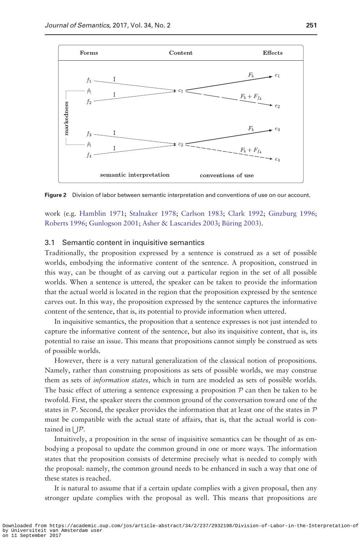<span id="page-15-0"></span>

Figure 2 Division of labor between semantic interpretation and conventions of use on our account.

work (e.g. [Hamblin 1971](#page-52-0); [Stalnaker 1978](#page-53-0); [Carlson 1983;](#page-51-0) [Clark 1992](#page-51-0); [Ginzburg 1996](#page-52-0); [Roberts 1996](#page-53-0); [Gunlogson 2001;](#page-52-0) [Asher](#page-51-0) [& Lascarides 2003;](#page-51-0) Büring 2003).

## 3.1 Semantic content in inquisitive semantics

Traditionally, the proposition expressed by a sentence is construed as a set of possible worlds, embodying the informative content of the sentence. A proposition, construed in this way, can be thought of as carving out a particular region in the set of all possible worlds. When a sentence is uttered, the speaker can be taken to provide the information that the actual world is located in the region that the proposition expressed by the sentence carves out. In this way, the proposition expressed by the sentence captures the informative content of the sentence, that is, its potential to provide information when uttered.

In inquisitive semantics, the proposition that a sentence expresses is not just intended to capture the informative content of the sentence, but also its inquisitive content, that is, its potential to raise an issue. This means that propositions cannot simply be construed as sets of possible worlds.

However, there is a very natural generalization of the classical notion of propositions. Namely, rather than construing propositions as sets of possible worlds, we may construe them as sets of information states, which in turn are modeled as sets of possible worlds. The basic effect of uttering a sentence expressing a proposition  $P$  can then be taken to be twofold. First, the speaker steers the common ground of the conversation toward one of the states in P. Second, the speaker provides the information that at least one of the states in  $\mathcal P$ must be compatible with the actual state of affairs, that is, that the actual world is contained in  $| \mathcal{P}$ .

Intuitively, a proposition in the sense of inquisitive semantics can be thought of as embodying a proposal to update the common ground in one or more ways. The information states that the proposition consists of determine precisely what is needed to comply with the proposal: namely, the common ground needs to be enhanced in such a way that one of these states is reached.

It is natural to assume that if a certain update complies with a given proposal, then any stronger update complies with the proposal as well. This means that propositions are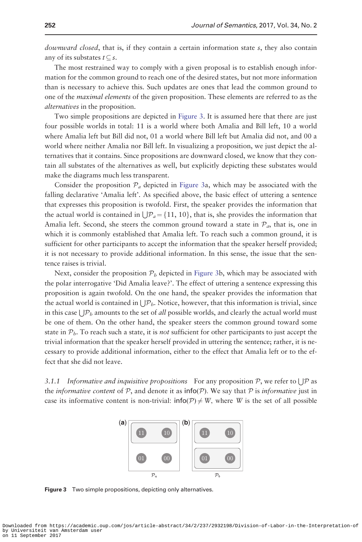<span id="page-16-0"></span>downward closed, that is, if they contain a certain information state s, they also contain any of its substates  $t \subseteq s$ .

The most restrained way to comply with a given proposal is to establish enough information for the common ground to reach one of the desired states, but not more information than is necessary to achieve this. Such updates are ones that lead the common ground to one of the *maximal elements* of the given proposition. These elements are referred to as the alternatives in the proposition.

Two simple propositions are depicted in Figure 3. It is assumed here that there are just four possible worlds in total: 11 is a world where both Amalia and Bill left, 10 a world where Amalia left but Bill did not, 01 a world where Bill left but Amalia did not, and 00 a world where neither Amalia nor Bill left. In visualizing a proposition, we just depict the alternatives that it contains. Since propositions are downward closed, we know that they contain all substates of the alternatives as well, but explicitly depicting these substates would make the diagrams much less transparent.

Consider the proposition  $P_a$  depicted in Figure 3a, which may be associated with the falling declarative 'Amalia left'. As specified above, the basic effect of uttering a sentence that expresses this proposition is twofold. First, the speaker provides the information that the actual world is contained in  $\mathcal{P}_a = \{11, 10\}$ , that is, she provides the information that Amalia left. Second, she steers the common ground toward a state in  $\mathcal{P}_a$ , that is, one in which it is commonly established that Amalia left. To reach such a common ground, it is sufficient for other participants to accept the information that the speaker herself provided; it is not necessary to provide additional information. In this sense, the issue that the sentence raises is trivial.

Next, consider the proposition  $P<sub>b</sub>$  depicted in Figure 3b, which may be associated with the polar interrogative 'Did Amalia leave?'. The effect of uttering a sentence expressing this proposition is again twofold. On the one hand, the speaker provides the information that the actual world is contained in  $\mathcal{P}_b$ . Notice, however, that this information is trivial, since in this case  $\bigcup P_b$  amounts to the set of *all* possible worlds, and clearly the actual world must be one of them. On the other hand, the speaker steers the common ground toward some state in  $\mathcal{P}_b$ . To reach such a state, it is *not* sufficient for other participants to just accept the trivial information that the speaker herself provided in uttering the sentence; rather, it is necessary to provide additional information, either to the effect that Amalia left or to the effect that she did not leave.

3.1.1 Informative and inquisitive propositions For any proposition  $P$ , we refer to  $\bigcup P$  as the *informative content* of P, and denote it as  $info(P)$ . We say that P is *informative* just in case its informative content is non-trivial:  $\text{info}(\mathcal{P}) \neq W$ , where W is the set of all possible



Figure 3 Two simple propositions, depicting only alternatives.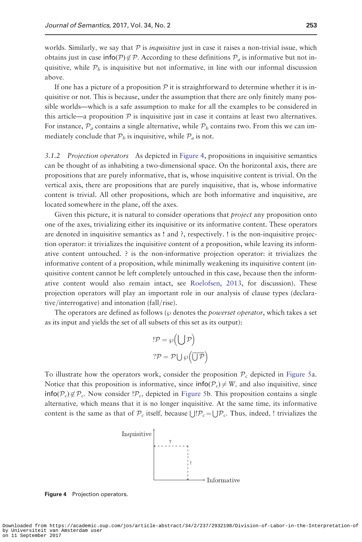worlds. Similarly, we say that  $P$  is *inquisitive* just in case it raises a non-trivial issue, which obtains just in case info( $\mathcal{P}$ )  $\notin \mathcal{P}$ . According to these definitions  $\mathcal{P}_a$  is informative but not inquisitive, while  $P_b$  is inquisitive but not informative, in line with our informal discussion above.

If one has a picture of a proposition  $P$  it is straightforward to determine whether it is inquisitive or not. This is because, under the assumption that there are only finitely many possible worlds—which is a safe assumption to make for all the examples to be considered in this article—a proposition  $P$  is inquisitive just in case it contains at least two alternatives. For instance,  $P_a$  contains a single alternative, while  $P_b$  contains two. From this we can immediately conclude that  $P_b$  is inquisitive, while  $P_a$  is not.

3.1.2 Projection operators As depicted in Figure 4, propositions in inquisitive semantics can be thought of as inhabiting a two-dimensional space. On the horizontal axis, there are propositions that are purely informative, that is, whose inquisitive content is trivial. On the vertical axis, there are propositions that are purely inquisitive, that is, whose informative content is trivial. All other propositions, which are both informative and inquisitive, are located somewhere in the plane, off the axes.

Given this picture, it is natural to consider operations that *project* any proposition onto one of the axes, trivializing either its inquisitive or its informative content. These operators are denoted in inquisitive semantics as ! and ?, respectively. ! is the non-inquisitive projection operator: it trivializes the inquisitive content of a proposition, while leaving its informative content untouched. ? is the non-informative projection operator: it trivializes the informative content of a proposition, while minimally weakening its inquisitive content (inquisitive content cannot be left completely untouched in this case, because then the informative content would also remain intact, see [Roelofsen, 2013](#page-53-0), for discussion). These projection operators will play an important role in our analysis of clause types (declarative/interrogative) and intonation (fall/rise).

The operators are defined as follows ( $\wp$  denotes the *powerset operator*, which takes a set as its input and yields the set of all subsets of this set as its output):

$$
! \mathcal{P} = \wp \left( \bigcup \mathcal{P} \right)
$$

$$
? \mathcal{P} = \mathcal{P} \cup \wp \left( \overline{\bigcup \mathcal{P}} \right)
$$

To illustrate how the operators work, consider the proposition  $P_c$  depicted in [Figure 5a](#page-18-0). Notice that this proposition is informative, since  $\text{info}(\mathcal{P}_c) \neq W$ , and also inquisitive, since  $info(\mathcal{P}_c) \notin \mathcal{P}_c$ . Now consider  $\mathcal{P}_c$ , depicted in [Figure 5b](#page-18-0). This proposition contains a single alternative, which means that it is no longer inquisitive. At the same time, its informative content is the same as that of  $P_c$  itself, because  $\bigcup P_c = \bigcup P_c$ . Thus, indeed, ! trivializes the



Figure 4 Projection operators.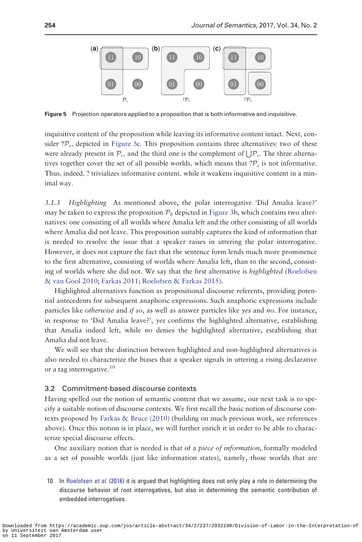<span id="page-18-0"></span>

Figure 5 Projection operators applied to a proposition that is both informative and inquisitive.

inquisitive content of the proposition while leaving its informative content intact. Next, consider  $2\mathcal{P}_c$ , depicted in Figure 5c. This proposition contains three alternatives: two of these were already present in  $\mathcal{P}_c$ , and the third one is the complement of  $\bigcup \mathcal{P}_c$ . The three alternatives together cover the set of all possible worlds, which means that  $2P_c$  is not informative. Thus, indeed, ? trivializes informative content, while it weakens inquisitive content in a minimal way.

3.1.3 Highlighting As mentioned above, the polar interrogative 'Did Amalia leave?' may be taken to express the proposition  $P_b$  depicted in [Figure 3b](#page-16-0), which contains two alternatives: one consisting of all worlds where Amalia left and the other consisting of all worlds where Amalia did not leave. This proposition suitably captures the kind of information that is needed to resolve the issue that a speaker raises in uttering the polar interrogative. However, it does not capture the fact that the sentence form lends much more prominence to the first alternative, consisting of worlds where Amalia left, than to the second, consisting of worlds where she did not. We say that the first alternative is *highlighted* [\(Roelofsen](#page-53-0) & [van Gool 2010](#page-53-0); [Farkas 2011](#page-52-0); [Roelofsen](#page-53-0) [& Farkas 2015\)](#page-53-0).

Highlighted alternatives function as propositional discourse referents, providing potential antecedents for subsequent anaphoric expressions. Such anaphoric expressions include particles like otherwise and if so, as well as answer particles like yes and no. For instance, in response to 'Did Amalia leave?', yes confirms the highlighted alternative, establishing that Amalia indeed left, while no denies the highlighted alternative, establishing that Amalia did not leave.

We will see that the distinction between highlighted and non-highlighted alternatives is also needed to characterize the biases that a speaker signals in uttering a rising declarative or a tag interrogative.<sup>10</sup>

# 3.2 Commitment-based discourse contexts

Having spelled out the notion of semantic content that we assume, our next task is to specify a suitable notion of discourse contexts. We first recall the basic notion of discourse contexts proposed by [Farkas](#page-52-0) [& Bruce \(2010\)](#page-52-0) (building on much previous work, see references above). Once this notion is in place, we will further enrich it in order to be able to characterize special discourse effects.

One auxiliary notion that is needed is that of a *piece of information*, formally modeled as a set of possible worlds (just like information states), namely, those worlds that are

10 In [Roelofsen](#page-53-0) et al. (2016) it is argued that highlighting does not only play a role in determining the discourse behavior of root interrogatives, but also in determining the semantic contribution of embedded interrogatives.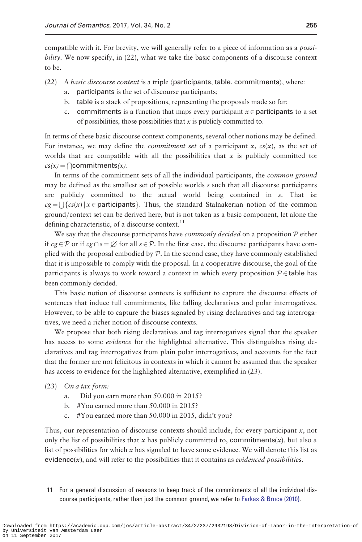compatible with it. For brevity, we will generally refer to a piece of information as a possi $bility.$  We now specify, in  $(22)$ , what we take the basic components of a discourse context to be.

- $(22)$  A *basic discourse context* is a triple  $\langle$  **participants**, table, commitments $\rangle$ , where:
	- a. participants is the set of discourse participants;
	- b. table is a stack of propositions, representing the proposals made so far;
	- c. commitments is a function that maps every participant  $x \in$  participants to a set of possibilities, those possibilities that  $x$  is publicly committed to.

In terms of these basic discourse context components, several other notions may be defined. For instance, we may define the *commitment set* of a participant  $x$ ,  $cs(x)$ , as the set of worlds that are compatible with all the possibilities that  $x$  is publicly committed to:  $cs(x) = \bigcap$ commitments $(x)$ .

In terms of the commitment sets of all the individual participants, the *common ground* may be defined as the smallest set of possible worlds  $s$  such that all discourse participants are publicly committed to the actual world being contained in s. That is:  $c\bar{g} = | \{ \zeta s(x) | x \in \rho \text{arctic} \}$ . Thus, the standard Stalnakerian notion of the common ground/context set can be derived here, but is not taken as a basic component, let alone the defining characteristic, of a discourse context. $^{11}$ 

We say that the discourse participants have *commonly decided* on a proposition  $P$  either if  $cg \in \mathcal{P}$  or if  $cg \cap s = \emptyset$  for all  $s \in \mathcal{P}$ . In the first case, the discourse participants have complied with the proposal embodied by  $P$ . In the second case, they have commonly established that it is impossible to comply with the proposal. In a cooperative discourse, the goal of the participants is always to work toward a context in which every proposition  $P \in \mathsf{table}$  has been commonly decided.

This basic notion of discourse contexts is sufficient to capture the discourse effects of sentences that induce full commitments, like falling declaratives and polar interrogatives. However, to be able to capture the biases signaled by rising declaratives and tag interrogatives, we need a richer notion of discourse contexts.

We propose that both rising declaratives and tag interrogatives signal that the speaker has access to some *evidence* for the highlighted alternative. This distinguishes rising declaratives and tag interrogatives from plain polar interrogatives, and accounts for the fact that the former are not felicitous in contexts in which it cannot be assumed that the speaker has access to evidence for the highlighted alternative, exemplified in (23).

- (23) On a tax form:
	- a. Did you earn more than 50.000 in 2015?
	- b. #You earned more than 50.000 in 2015?
	- c. #You earned more than 50.000 in 2015, didn't you?

Thus, our representation of discourse contexts should include, for every participant  $x$ , not only the list of possibilities that x has publicly committed to, commitments(x), but also a list of possibilities for which x has signaled to have some evidence. We will denote this list as  $e$ vidence $(x)$ , and will refer to the possibilities that it contains as *evidenced possibilities*.

11 For a general discussion of reasons to keep track of the commitments of all the individual discourse participants, rather than just the common ground, we refer to [Farkas & Bruce \(2010\)](#page-52-0).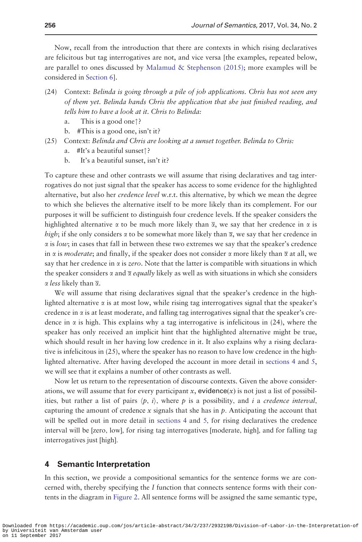Now, recall from the introduction that there are contexts in which rising declaratives are felicitous but tag interrogatives are not, and vice versa [the examples, repeated below, are parallel to ones discussed by Malamud & Stephenson  $(2015)$ ; more examples will be considered in Section 6].

- (24) Context: Belinda is going through a pile of job applications. Chris has not seen any of them yet. Belinda hands Chris the application that she just finished reading, and tells him to have a look at it. Chris to Belinda:
	- a. This is a good one??
	- b. #This is a good one, isn't it?
- (25) Context: Belinda and Chris are looking at a sunset together. Belinda to Chris:
	- a. #It's a beautiful sunset?
	- b. It's a beautiful sunset, isn't it?

To capture these and other contrasts we will assume that rising declaratives and tag interrogatives do not just signal that the speaker has access to some evidence for the highlighted alternative, but also her *credence level* w.r.t. this alternative, by which we mean the degree to which she believes the alternative itself to be more likely than its complement. For our purposes it will be sufficient to distinguish four credence levels. If the speaker considers the highlighted alternative  $\alpha$  to be much more likely than  $\bar{\alpha}$ , we say that her credence in  $\alpha$  is *high*; if she only considers  $\alpha$  to be somewhat more likely than  $\bar{\alpha}$ , we say that her credence in  $\alpha$  is low; in cases that fall in between these two extremes we say that the speaker's credence in  $\alpha$  is *moderate*; and finally, if the speaker does not consider  $\alpha$  more likely than  $\overline{\alpha}$  at all, we say that her credence in  $\alpha$  is *zero*. Note that the latter is compatible with situations in which the speaker considers  $\alpha$  and  $\overline{\alpha}$  *equally* likely as well as with situations in which she considers  $\alpha$  less likely than  $\overline{\alpha}$ .

We will assume that rising declaratives signal that the speaker's credence in the highlighted alternative  $\alpha$  is at most low, while rising tag interrogatives signal that the speaker's credence in  $\alpha$  is at least moderate, and falling tag interrogatives signal that the speaker's credence in  $\alpha$  is high. This explains why a tag interrogative is infelicitous in (24), where the speaker has only received an implicit hint that the highlighted alternative might be true, which should result in her having low credence in it. It also explains why a rising declarative is infelicitous in (25), where the speaker has no reason to have low credence in the highlighted alternative. After having developed the account in more detail in sections 4 and 5, we will see that it explains a number of other contrasts as well.

Now let us return to the representation of discourse contexts. Given the above considerations, we will assume that for every participant x, evidence(x) is not just a list of possibilities, but rather a list of pairs  $\langle p, i \rangle$ , where p is a possibility, and i a *credence interval*, capturing the amount of credence x signals that she has in  $p$ . Anticipating the account that will be spelled out in more detail in sections 4 and 5, for rising declaratives the credence interval will be [zero, low], for rising tag interrogatives [moderate, high], and for falling tag interrogatives just [high].

# 4 Semantic Interpretation

In this section, we provide a compositional semantics for the sentence forms we are concerned with, thereby specifying the I function that connects sentence forms with their contents in the diagram in [Figure 2](#page-15-0). All sentence forms will be assigned the same semantic type,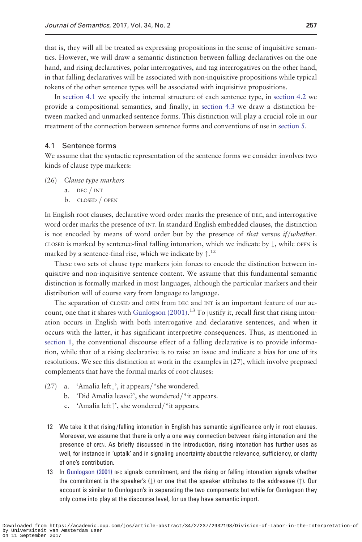that is, they will all be treated as expressing propositions in the sense of inquisitive semantics. However, we will draw a semantic distinction between falling declaratives on the one hand, and rising declaratives, polar interrogatives, and tag interrogatives on the other hand, in that falling declaratives will be associated with non-inquisitive propositions while typical tokens of the other sentence types will be associated with inquisitive propositions.

In section 4.1 we specify the internal structure of each sentence type, in section 4.2 we provide a compositional semantics, and finally, in section 4.3 we draw a distinction between marked and unmarked sentence forms. This distinction will play a crucial role in our treatment of the connection between sentence forms and conventions of use in section 5.

## 4.1 Sentence forms

We assume that the syntactic representation of the sentence forms we consider involves two kinds of clause type markers:

- (26) Clause type markers
	- $a.$  DEC / INT
	- $b.$  CLOSED / OPEN

In English root clauses, declarative word order marks the presence of DEC, and interrogative word order marks the presence of INT. In standard English embedded clauses, the distinction is not encoded by means of word order but by the presence of that versus if /whether. CLOSED is marked by sentence-final falling intonation, which we indicate by  $\downarrow$ , while OPEN is marked by a sentence-final rise, which we indicate by  $\uparrow$ .<sup>12</sup>

These two sets of clause type markers join forces to encode the distinction between inquisitive and non-inquisitive sentence content. We assume that this fundamental semantic distinction is formally marked in most languages, although the particular markers and their distribution will of course vary from language to language.

The separation of CLOSED and OPEN from DEC and INT is an important feature of our ac-count, one that it shares with [Gunlogson \(2001\)](#page-52-0).<sup>13</sup> To justify it, recall first that rising intonation occurs in English with both interrogative and declarative sentences, and when it occurs with the latter, it has significant interpretive consequences. Thus, as mentioned in section 1, the conventional discourse effect of a falling declarative is to provide information, while that of a rising declarative is to raise an issue and indicate a bias for one of its resolutions. We see this distinction at work in the examples in (27), which involve preposed complements that have the formal marks of root clauses:

- (27) a. 'Amalia left $\downarrow$ ', it appears/\*she wondered.
	- b. 'Did Amalia leave?', she wondered/ $*$ it appears.
	- c. 'Amalia left $\uparrow$ ', she wondered/\*it appears.
- 12 We take it that rising/falling intonation in English has semantic significance only in root clauses. Moreover, we assume that there is only a one way connection between rising intonation and the presence of OPEN. As briefly discussed in the introduction, rising intonation has further uses as well, for instance in 'uptalk' and in signaling uncertainty about the relevance, sufficiency, or clarity of one's contribution.
- 13 In [Gunlogson \(2001\)](#page-52-0) DEC signals commitment, and the rising or falling intonation signals whether the commitment is the speaker's  $(\downarrow)$  or one that the speaker attributes to the addressee ( $\uparrow$ ). Our account is similar to Gunlogson's in separating the two components but while for Gunlogson they only come into play at the discourse level, for us they have semantic import.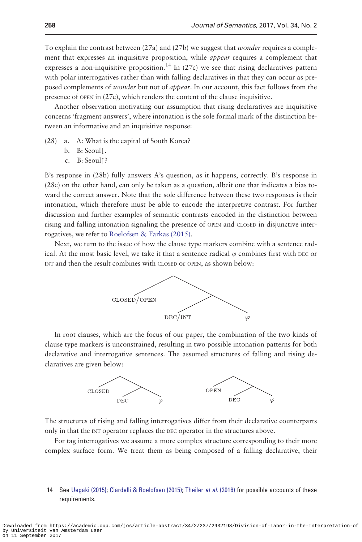To explain the contrast between  $(27a)$  and  $(27b)$  we suggest that *wonder* requires a complement that expresses an inquisitive proposition, while appear requires a complement that expresses a non-inquisitive proposition.<sup>14</sup> In (27c) we see that rising declaratives pattern with polar interrogatives rather than with falling declaratives in that they can occur as preposed complements of wonder but not of appear. In our account, this fact follows from the presence of OPEN in (27c), which renders the content of the clause inquisitive.

Another observation motivating our assumption that rising declaratives are inquisitive concerns 'fragment answers', where intonation is the sole formal mark of the distinction between an informative and an inquisitive response:

- (28) a. A: What is the capital of South Korea?
	- $b.$  B: Seoul].
	- c. B: Seoul $\uparrow$ ?

B's response in (28b) fully answers A's question, as it happens, correctly. B's response in (28c) on the other hand, can only be taken as a question, albeit one that indicates a bias toward the correct answer. Note that the sole difference between these two responses is their intonation, which therefore must be able to encode the interpretive contrast. For further discussion and further examples of semantic contrasts encoded in the distinction between rising and falling intonation signaling the presence of OPEN and CLOSED in disjunctive interrogatives, we refer to [Roelofsen & Farkas \(2015\)](#page-53-0).

Next, we turn to the issue of how the clause type markers combine with a sentence radical. At the most basic level, we take it that a sentence radical  $\varphi$  combines first with DEC or INT and then the result combines with CLOSED or OPEN, as shown below:



In root clauses, which are the focus of our paper, the combination of the two kinds of clause type markers is unconstrained, resulting in two possible intonation patterns for both declarative and interrogative sentences. The assumed structures of falling and rising declaratives are given below:



The structures of rising and falling interrogatives differ from their declarative counterparts only in that the INT operator replaces the DEC operator in the structures above.

For tag interrogatives we assume a more complex structure corresponding to their more complex surface form. We treat them as being composed of a falling declarative, their

# 14 See [Uegaki \(2015\)](#page-53-0); [Ciardelli](#page-51-0) & [Roelofsen \(2015\);](#page-51-0) Theiler et al[. \(2016\)](#page-53-0) for possible accounts of these requirements.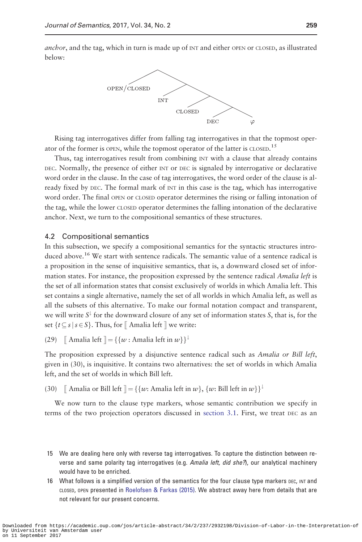anchor, and the tag, which in turn is made up of INT and either OPEN or CLOSED, as illustrated below:



Rising tag interrogatives differ from falling tag interrogatives in that the topmost operator of the former is OPEN, while the topmost operator of the latter is CLOSED.<sup>15</sup>

Thus, tag interrogatives result from combining INT with a clause that already contains DEC. Normally, the presence of either INT or DEC is signaled by interrogative or declarative word order in the clause. In the case of tag interrogatives, the word order of the clause is already fixed by DEC. The formal mark of INT in this case is the tag, which has interrogative word order. The final OPEN or CLOSED operator determines the rising or falling intonation of the tag, while the lower CLOSED operator determines the falling intonation of the declarative anchor. Next, we turn to the compositional semantics of these structures.

## 4.2 Compositional semantics

In this subsection, we specify a compositional semantics for the syntactic structures introduced above.<sup>16</sup> We start with sentence radicals. The semantic value of a sentence radical is a proposition in the sense of inquisitive semantics, that is, a downward closed set of information states. For instance, the proposition expressed by the sentence radical *Amalia left* is the set of all information states that consist exclusively of worlds in which Amalia left. This set contains a single alternative, namely the set of all worlds in which Amalia left, as well as all the subsets of this alternative. To make our formal notation compact and transparent, we will write  $S^{\downarrow}$  for the downward closure of any set of information states S, that is, for the set  $\{t \subseteq s \mid s \in S\}$ . Thus, for || Amalia left || we write:

(29)  $\int$  Amalia left  $\] = \{ \{w : \text{Amalia left in } w \} \}^{\downarrow}$ 

The proposition expressed by a disjunctive sentence radical such as Amalia or Bill left, given in (30), is inquisitive. It contains two alternatives: the set of worlds in which Amalia left, and the set of worlds in which Bill left.

(30)  $\int$  Amalia or Bill left  $\Vert = \{ \{w: \text{Amalia left in } w \}, \{w: \text{Bill left in } w \} \}$ 

We now turn to the clause type markers, whose semantic contribution we specify in terms of the two projection operators discussed in section 3.1. First, we treat DEC as an

- 15 We are dealing here only with reverse tag interrogatives. To capture the distinction between reverse and same polarity tag interrogatives (e.g. Amalia left, did she?), our analytical machinery would have to be enriched.
- 16 What follows is a simplified version of the semantics for the four clause type markers DEC, INT and CLOSED, OPEN presented in [Roelofsen & Farkas \(2015\)](#page-53-0). We abstract away here from details that are not relevant for our present concerns.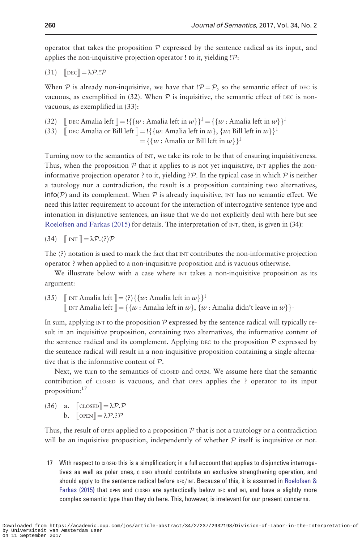operator that takes the proposition  $P$  expressed by the sentence radical as its input, and applies the non-inquisitive projection operator ! to it, yielding !P:

$$
(31) \quad \text{[DEC]} = \lambda \mathcal{P}.! \mathcal{P}
$$

When P is already non-inquisitive, we have that  $!P = \mathcal{P}$ , so the semantic effect of DEC is vacuous, as exemplified in (32). When  $P$  is inquisitive, the semantic effect of DEC is nonvacuous, as exemplified in (33):

(32)  $\[\]$  DEC Amalia left  $\] = \{\{w : \text{Amalia left in } w\}\}^{\downarrow} = \{\{w : \text{Amalia left in } w\}\}^{\downarrow}$ (33)  $\int \text{DEC Amalia or Bill left } = \frac{1}{w}$ : Amalia left in w},  $\{w: \text{Bill left in } w\}$  $=\{\{w : \text{Amalia or Bill left in } w\}\}$ 

Turning now to the semantics of INT, we take its role to be that of ensuring inquisitiveness. Thus, when the proposition  $P$  that it applies to is not yet inquisitive, INT applies the noninformative projection operator ? to it, yielding ?  $\mathcal{P}$ . In the typical case in which  $\mathcal P$  is neither a tautology nor a contradiction, the result is a proposition containing two alternatives,  $info(\mathcal{P})$  and its complement. When  $\mathcal{P}$  is already inquisitive,  $INT$  has no semantic effect. We need this latter requirement to account for the interaction of interrogative sentence type and intonation in disjunctive sentences, an issue that we do not explicitly deal with here but see [Roelofsen and Farkas \(2015\)](#page-53-0) for details. The interpretation of INT, then, is given in (34):

$$
(34) \quad \lbrack\!\lbrack \ \rbrack \text{INT} \ \rbrack\!\rbrack = \lambda \mathcal{P}. \langle? \rangle \mathcal{P}
$$

The  $\langle \rangle$  notation is used to mark the fact that INT contributes the non-informative projection operator ? when applied to a non-inquisitive proposition and is vacuous otherwise.

We illustrate below with a case where INT takes a non-inquisitive proposition as its argument:

(35)  $\[\]$  INT Amalia left  $\] = \langle ? \rangle \{ \{ w : \text{Amalia left in } w \} \}$ [ INT Amalia left ] ¼ ffw : Amalia left in wg, fw : Amalia didn't leave in wgg#

In sum, applying  $INT$  to the proposition  $P$  expressed by the sentence radical will typically result in an inquisitive proposition, containing two alternatives, the informative content of the sentence radical and its complement. Applying DEC to the proposition  $P$  expressed by the sentence radical will result in a non-inquisitive proposition containing a single alternative that is the informative content of P.

Next, we turn to the semantics of CLOSED and OPEN. We assume here that the semantic contribution of CLOSED is vacuous, and that OPEN applies the ? operator to its input proposition:17

(36) a.  $\llbracket \text{CLOSED} \rrbracket = \lambda \mathcal{P} \cdot \mathcal{P}$ b.  $\lbrack \text{OPEN} \rbrack = \lambda \mathcal{P}.? \mathcal{P}$ 

Thus, the result of OPEN applied to a proposition  $P$  that is not a tautology or a contradiction will be an inquisitive proposition, independently of whether  $P$  itself is inquisitive or not.

17 With respect to CLOSED this is a simplification; in a full account that applies to disjunctive interrogatives as well as polar ones, CLOSED should contribute an exclusive strengthening operation, and should apply to the sentence radical before DEC/INT. Because of this, it is assumed in [Roelofsen](#page-53-0) & [Farkas \(2015\)](#page-53-0) that open and closed are syntactically below DEC and INT, and have a slightly more complex semantic type than they do here. This, however, is irrelevant for our present concerns.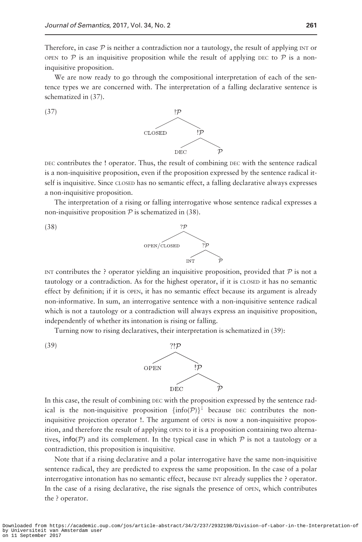Therefore, in case  $P$  is neither a contradiction nor a tautology, the result of applying  $INT$  or OPEN to  $\mathcal P$  is an inquisitive proposition while the result of applying DEC to  $\mathcal P$  is a noninquisitive proposition.

We are now ready to go through the compositional interpretation of each of the sentence types we are concerned with. The interpretation of a falling declarative sentence is schematized in (37).



DEC contributes the ! operator. Thus, the result of combining DEC with the sentence radical is a non-inquisitive proposition, even if the proposition expressed by the sentence radical itself is inquisitive. Since CLOSED has no semantic effect, a falling declarative always expresses a non-inquisitive proposition.

The interpretation of a rising or falling interrogative whose sentence radical expresses a non-inquisitive proposition  $P$  is schematized in (38).

 $\begin{picture}(120,115) \put(0,0){\line(1,0){100}} \put(15,0){\line(1,0){100}} \put(15,0){\line(1,0){100}} \put(15,0){\line(1,0){100}} \put(15,0){\line(1,0){100}} \put(15,0){\line(1,0){100}} \put(15,0){\line(1,0){100}} \put(15,0){\line(1,0){100}} \put(15,0){\line(1,0){100}} \put(15,0){\line(1,0){100}} \put(15,0){\line(1,0){100$ 

INT contributes the ? operator yielding an inquisitive proposition, provided that  $P$  is not a tautology or a contradiction. As for the highest operator, if it is CLOSED it has no semantic effect by definition; if it is OPEN, it has no semantic effect because its argument is already non-informative. In sum, an interrogative sentence with a non-inquisitive sentence radical which is not a tautology or a contradiction will always express an inquisitive proposition, independently of whether its intonation is rising or falling.

Turning now to rising declaratives, their interpretation is schematized in (39):



In this case, the result of combining DEC with the proposition expressed by the sentence radical is the non-inquisitive proposition  $\{\inf o(\mathcal{P})\}^{\downarrow}$  because DEC contributes the noninquisitive projection operator !. The argument of OPEN is now a non-inquisitive proposition, and therefore the result of applying OPEN to it is a proposition containing two alternatives, info( $\mathcal{P}$ ) and its complement. In the typical case in which  $\mathcal{P}$  is not a tautology or a contradiction, this proposition is inquisitive.

Note that if a rising declarative and a polar interrogative have the same non-inquisitive sentence radical, they are predicted to express the same proposition. In the case of a polar interrogative intonation has no semantic effect, because INT already supplies the ? operator. In the case of a rising declarative, the rise signals the presence of OPEN, which contributes the ? operator.

(37)

(38)

(39)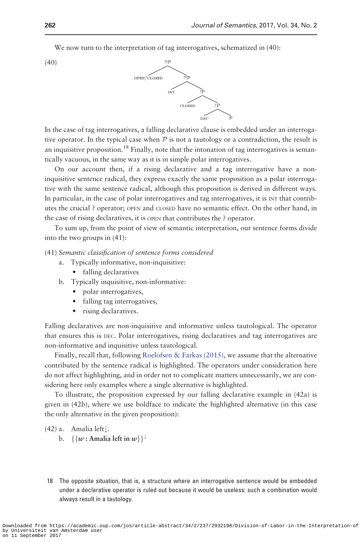We now turn to the interpretation of tag interrogatives, schematized in (40):

(40)



In the case of tag interrogatives, a falling declarative clause is embedded under an interrogative operator. In the typical case when  $P$  is not a tautology or a contradiction, the result is an inquisitive proposition.<sup>18</sup> Finally, note that the intonation of tag interrogatives is semantically vacuous, in the same way as it is in simple polar interrogatives.

On our account then, if a rising declarative and a tag interrogative have a noninquisitive sentence radical, they express exactly the same proposition as a polar interrogative with the same sentence radical, although this proposition is derived in different ways. In particular, in the case of polar interrogatives and tag interrogatives, it is INT that contributes the crucial ? operator; OPEN and CLOSED have no semantic effect. On the other hand, in the case of rising declaratives, it is OPEN that contributes the ? operator.

To sum up, from the point of view of semantic interpretation, our sentence forms divide into the two groups in (41):

#### (41) Semantic classification of sentence forms considered

- a. Typically informative, non-inquisitive:
	- falling declaratives
- b. Typically inquisitive, non-informative:
	- polar interrogatives,
	- falling tag interrogatives,
	- rising declaratives.

Falling declaratives are non-inquisitive and informative unless tautological. The operator that ensures this is DEC. Polar interrogatives, rising declaratives and tag interrogatives are non-informative and inquisitive unless tautological.

Finally, recall that, following [Roelofsen](#page-53-0) & [Farkas \(2015\)](#page-53-0), we assume that the alternative contributed by the sentence radical is highlighted. The operators under consideration here do not affect highlighting, and in order not to complicate matters unnecessarily, we are considering here only examples where a single alternative is highlighted.

To illustrate, the proposition expressed by our falling declarative example in (42a) is given in (42b), where we use boldface to indicate the highlighted alternative (in this case the only alternative in the given proposition):

 $(42)$  a. Amalia left.

- b. { $\{w : \text{Amalia left in } w\}^{\downarrow}$
- 18 The opposite situation, that is, a structure where an interrogative sentence would be embedded under a declarative operator is ruled out because it would be useless: such a combination would always result in a tautology.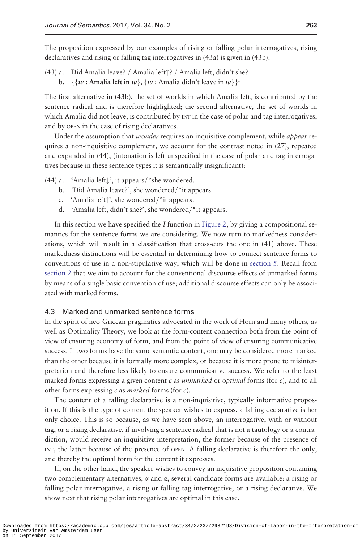The proposition expressed by our examples of rising or falling polar interrogatives, rising declaratives and rising or falling tag interrogatives in (43a) is given in (43b):

(43) a. Did Amalia leave? / Amalia left $\uparrow$ ? / Amalia left, didn't she? b. { $\{w : \text{Amalia left in } w\}$ ,  $\{w : \text{Amalia didn't leave in } w\}$ }

The first alternative in (43b), the set of worlds in which Amalia left, is contributed by the sentence radical and is therefore highlighted; the second alternative, the set of worlds in which Amalia did not leave, is contributed by INT in the case of polar and tag interrogatives, and by OPEN in the case of rising declaratives.

Under the assumption that wonder requires an inquisitive complement, while appear requires a non-inquisitive complement, we account for the contrast noted in (27), repeated and expanded in (44), (intonation is left unspecified in the case of polar and tag interrogatives because in these sentence types it is semantically insignificant):

- (44) a. 'Amalia left $\downarrow$ ', it appears/\*she wondered.
	- b. 'Did Amalia leave?', she wondered/\*it appears.
	- c. 'Amalia left $\uparrow$ ', she wondered/\*it appears.
	- d. 'Amalia left, didn't she?', she wondered/ $*$ it appears.

In this section we have specified the  $I$  function in [Figure 2,](#page-15-0) by giving a compositional semantics for the sentence forms we are considering. We now turn to markedness considerations, which will result in a classification that cross-cuts the one in (41) above. These markedness distinctions will be essential in determining how to connect sentence forms to conventions of use in a non-stipulative way, which will be done in section 5. Recall from section 2 that we aim to account for the conventional discourse effects of unmarked forms by means of a single basic convention of use; additional discourse effects can only be associated with marked forms.

# 4.3 Marked and unmarked sentence forms

In the spirit of neo-Gricean pragmatics advocated in the work of Horn and many others, as well as Optimality Theory, we look at the form-content connection both from the point of view of ensuring economy of form, and from the point of view of ensuring communicative success. If two forms have the same semantic content, one may be considered more marked than the other because it is formally more complex, or because it is more prone to misinterpretation and therefore less likely to ensure communicative success. We refer to the least marked forms expressing a given content c as *unmarked* or *optimal* forms (for c), and to all other forms expressing  $c$  as *marked* forms (for  $c$ ).

The content of a falling declarative is a non-inquisitive, typically informative proposition. If this is the type of content the speaker wishes to express, a falling declarative is her only choice. This is so because, as we have seen above, an interrogative, with or without tag, or a rising declarative, if involving a sentence radical that is not a tautology or a contradiction, would receive an inquisitive interpretation, the former because of the presence of INT, the latter because of the presence of OPEN. A falling declarative is therefore the only, and thereby the optimal form for the content it expresses.

If, on the other hand, the speaker wishes to convey an inquisitive proposition containing two complementary alternatives,  $\alpha$  and  $\overline{\alpha}$ , several candidate forms are available: a rising or falling polar interrogative, a rising or falling tag interrogative, or a rising declarative. We show next that rising polar interrogatives are optimal in this case.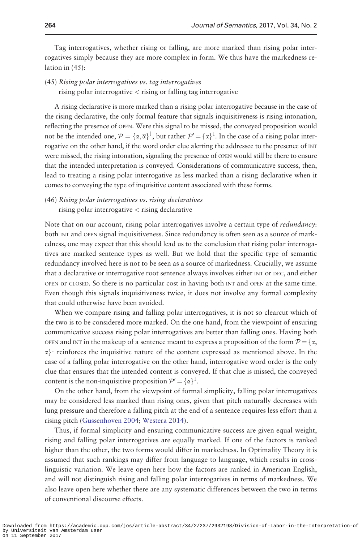Tag interrogatives, whether rising or falling, are more marked than rising polar interrogatives simply because they are more complex in form. We thus have the markedness relation in (45):

- (45) Rising polar interrogatives vs. tag interrogatives
	- rising polar interrogative < rising or falling tag interrogative

A rising declarative is more marked than a rising polar interrogative because in the case of the rising declarative, the only formal feature that signals inquisitiveness is rising intonation, reflecting the presence of OPEN. Were this signal to be missed, the conveyed proposition would not be the intended one,  $\mathcal{P} = \{\alpha, \overline{\alpha}\}^{\downarrow}$ , but rather  $\mathcal{P}' = \{\alpha\}^{\downarrow}$ . In the case of a rising polar interrogative on the other hand, if the word order clue alerting the addressee to the presence of INT were missed, the rising intonation, signaling the presence of OPEN would still be there to ensure that the intended interpretation is conveyed. Considerations of communicative success, then, lead to treating a rising polar interrogative as less marked than a rising declarative when it comes to conveying the type of inquisitive content associated with these forms.

# (46) Rising polar interrogatives vs. rising declaratives rising polar interrogative < rising declarative

Note that on our account, rising polar interrogatives involve a certain type of *redundancy*: both INT and OPEN signal inquisitiveness. Since redundancy is often seen as a source of markedness, one may expect that this should lead us to the conclusion that rising polar interrogatives are marked sentence types as well. But we hold that the specific type of semantic redundancy involved here is not to be seen as a source of markedness. Crucially, we assume that a declarative or interrogative root sentence always involves either INT or DEC, and either OPEN or CLOSED. So there is no particular cost in having both INT and OPEN at the same time. Even though this signals inquisitiveness twice, it does not involve any formal complexity that could otherwise have been avoided.

When we compare rising and falling polar interrogatives, it is not so clearcut which of the two is to be considered more marked. On the one hand, from the viewpoint of ensuring communicative success rising polar interrogatives are better than falling ones. Having both OPEN and INT in the makeup of a sentence meant to express a proposition of the form  $\mathcal{P} = \{\alpha, \beta, \gamma\}$  $\overline{\alpha}$ <sup>1</sup> reinforces the inquisitive nature of the content expressed as mentioned above. In the case of a falling polar interrogative on the other hand, interrogative word order is the only clue that ensures that the intended content is conveyed. If that clue is missed, the conveyed content is the non-inquisitive proposition  $\mathcal{P}' = {\alpha}^{\downarrow}$ .

On the other hand, from the viewpoint of formal simplicity, falling polar interrogatives may be considered less marked than rising ones, given that pitch naturally decreases with lung pressure and therefore a falling pitch at the end of a sentence requires less effort than a rising pitch [\(Gussenhoven 2004;](#page-52-0) [Westera 2014\)](#page-53-0).

Thus, if formal simplicity and ensuring communicative success are given equal weight, rising and falling polar interrogatives are equally marked. If one of the factors is ranked higher than the other, the two forms would differ in markedness. In Optimality Theory it is assumed that such rankings may differ from language to language, which results in crosslinguistic variation. We leave open here how the factors are ranked in American English, and will not distinguish rising and falling polar interrogatives in terms of markedness. We also leave open here whether there are any systematic differences between the two in terms of conventional discourse effects.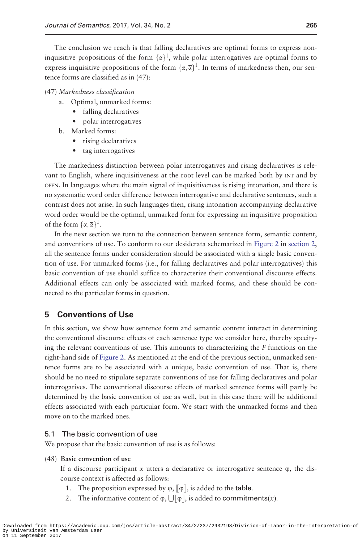The conclusion we reach is that falling declaratives are optimal forms to express noninquisitive propositions of the form  $\{\alpha\}^{\downarrow}$ , while polar interrogatives are optimal forms to express inquisitive propositions of the form  $\{\alpha,\overline{\alpha}\}^{\downarrow}$ . In terms of markedness then, our sentence forms are classified as in (47):

#### (47) Markedness classification

- a. Optimal, unmarked forms:
	- falling declaratives
	- polar interrogatives
- b. Marked forms:
	- rising declaratives
	- tag interrogatives

The markedness distinction between polar interrogatives and rising declaratives is relevant to English, where inquisitiveness at the root level can be marked both by INT and by OPEN. In languages where the main signal of inquisitiveness is rising intonation, and there is no systematic word order difference between interrogative and declarative sentences, such a contrast does not arise. In such languages then, rising intonation accompanying declarative word order would be the optimal, unmarked form for expressing an inquisitive proposition of the form  $\{\alpha,\overline{\alpha}\}^{\downarrow}$ .

In the next section we turn to the connection between sentence form, semantic content, and conventions of use. To conform to our desiderata schematized in [Figure 2](#page-15-0) in section 2, all the sentence forms under consideration should be associated with a single basic convention of use. For unmarked forms (i.e., for falling declaratives and polar interrogatives) this basic convention of use should suffice to characterize their conventional discourse effects. Additional effects can only be associated with marked forms, and these should be connected to the particular forms in question.

# 5 Conventions of Use

In this section, we show how sentence form and semantic content interact in determining the conventional discourse effects of each sentence type we consider here, thereby specifying the relevant conventions of use. This amounts to characterizing the F functions on the right-hand side of [Figure 2.](#page-15-0) As mentioned at the end of the previous section, unmarked sentence forms are to be associated with a unique, basic convention of use. That is, there should be no need to stipulate separate conventions of use for falling declaratives and polar interrogatives. The conventional discourse effects of marked sentence forms will partly be determined by the basic convention of use as well, but in this case there will be additional effects associated with each particular form. We start with the unmarked forms and then move on to the marked ones.

# 5.1 The basic convention of use

We propose that the basic convention of use is as follows:

# (48) Basic convention of use

If a discourse participant x utters a declarative or interrogative sentence  $\varphi$ , the discourse context is affected as follows:

- 1. The proposition expressed by  $\varphi$ ,  $\lbrack \varphi \rbrack$ , is added to the table.
- 2. The informative content of  $\varphi$ ,  $\bigcup_{\alpha=1}^{\infty} \varphi$ , is added to **commitments**(*x*).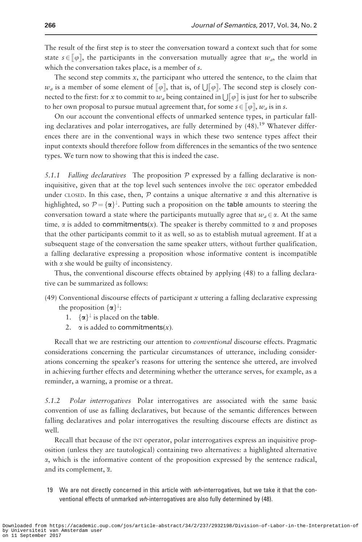The result of the first step is to steer the conversation toward a context such that for some state  $s \in [\![\varphi]\!]$ , the participants in the conversation mutually agree that  $w_a$ , the world in which the conversation takes place, is a member of s.

The second step commits  $x$ , the participant who uttered the sentence, to the claim that  $w_a$  is a member of some element of  $\llbracket \phi \rrbracket$ , that is, of  $\llbracket \psi \rrbracket$ . The second step is closely connected to the first: for x to commit to  $w_a$  being contained in  $\iiint \varphi \, ||\,$  is just for her to subscribe to her own proposal to pursue mutual agreement that, for some  $s \in [\![\varphi]\!]$ ,  $w_a$  is in s.

On our account the conventional effects of unmarked sentence types, in particular falling declaratives and polar interrogatives, are fully determined by (48).<sup>19</sup> Whatever differences there are in the conventional ways in which these two sentence types affect their input contexts should therefore follow from differences in the semantics of the two sentence types. We turn now to showing that this is indeed the case.

5.1.1 Falling declaratives The proposition  $P$  expressed by a falling declarative is noninquisitive, given that at the top level such sentences involve the DEC operator embedded under CLOSED. In this case, then,  $\mathcal P$  contains a unique alternative  $\alpha$  and this alternative is highlighted, so  $\mathcal{P} = {\{\alpha\}}^{\downarrow}$ . Putting such a proposition on the **table** amounts to steering the conversation toward a state where the participants mutually agree that  $w_a \in \alpha$ . At the same time,  $\alpha$  is added to commitments(x). The speaker is thereby committed to  $\alpha$  and proposes that the other participants commit to it as well, so as to establish mutual agreement. If at a subsequent stage of the conversation the same speaker utters, without further qualification, a falling declarative expressing a proposition whose informative content is incompatible with  $\alpha$  she would be guilty of inconsistency.

Thus, the conventional discourse effects obtained by applying (48) to a falling declarative can be summarized as follows:

- $(49)$  Conventional discourse effects of participant x uttering a falling declarative expressing the proposition  $\{\alpha\}^{\downarrow}$ :
	- 1.  $\{\alpha\}^{\downarrow}$  is placed on the table.
	- 2.  $\alpha$  is added to commitments(x).

Recall that we are restricting our attention to conventional discourse effects. Pragmatic considerations concerning the particular circumstances of utterance, including considerations concerning the speaker's reasons for uttering the sentence she uttered, are involved in achieving further effects and determining whether the utterance serves, for example, as a reminder, a warning, a promise or a threat.

5.1.2 Polar interrogatives Polar interrogatives are associated with the same basic convention of use as falling declaratives, but because of the semantic differences between falling declaratives and polar interrogatives the resulting discourse effects are distinct as well.

Recall that because of the INT operator, polar interrogatives express an inquisitive proposition (unless they are tautological) containing two alternatives: a highlighted alternative  $\alpha$ , which is the informative content of the proposition expressed by the sentence radical, and its complement,  $\overline{\alpha}$ .

19 We are not directly concerned in this article with  $wh$ -interrogatives, but we take it that the conventional effects of unmarked wh-interrogatives are also fully determined by (48).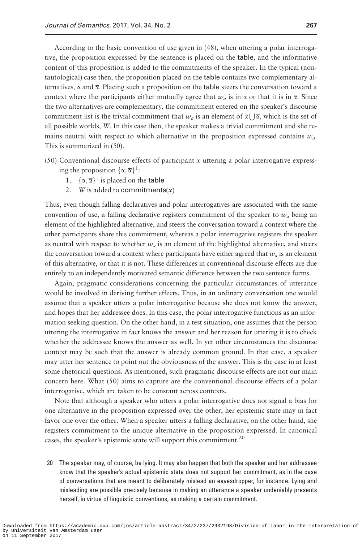According to the basic convention of use given in (48), when uttering a polar interrogative, the proposition expressed by the sentence is placed on the table, and the informative content of this proposition is added to the commitments of the speaker. In the typical (nontautological) case then, the proposition placed on the table contains two complementary alternatives,  $\alpha$  and  $\overline{\alpha}$ . Placing such a proposition on the **table** steers the conversation toward a context where the participants either mutually agree that  $w_a$  is in  $\alpha$  or that it is in  $\overline{\alpha}$ . Since the two alternatives are complementary, the commitment entered on the speaker's discourse commitment list is the trivial commitment that  $w_a$  is an element of  $\alpha \cup \overline{\alpha}$ , which is the set of all possible worlds, W. In this case then, the speaker makes a trivial commitment and she remains neutral with respect to which alternative in the proposition expressed contains  $w_a$ . This is summarized in (50).

- $(50)$  Conventional discourse effects of participant x uttering a polar interrogative expressing the proposition  $\{\alpha, \overline{\alpha}\}^{\downarrow}$ :
	- 1.  $\{\alpha, \overline{\alpha}\}^{\downarrow}$  is placed on the table
	- 2. W is added to commitments $(x)$

Thus, even though falling declaratives and polar interrogatives are associated with the same convention of use, a falling declarative registers commitment of the speaker to  $w_a$  being an element of the highlighted alternative, and steers the conversation toward a context where the other participants share this commitment, whereas a polar interrogative registers the speaker as neutral with respect to whether  $w_a$  is an element of the highlighted alternative, and steers the conversation toward a context where participants have either agreed that  $w_a$  is an element of this alternative, or that it is not. These differences in conventional discourse effects are due entirely to an independently motivated semantic difference between the two sentence forms.

Again, pragmatic considerations concerning the particular circumstances of utterance would be involved in deriving further effects. Thus, in an ordinary conversation one would assume that a speaker utters a polar interrogative because she does not know the answer, and hopes that her addressee does. In this case, the polar interrogative functions as an information seeking question. On the other hand, in a test situation, one assumes that the person uttering the interrogative in fact knows the answer and her reason for uttering it is to check whether the addressee knows the answer as well. In yet other circumstances the discourse context may be such that the answer is already common ground. In that case, a speaker may utter her sentence to point out the obviousness of the answer. This is the case in at least some rhetorical questions. As mentioned, such pragmatic discourse effects are not our main concern here. What (50) aims to capture are the conventional discourse effects of a polar interrogative, which are taken to be constant across contexts.

Note that although a speaker who utters a polar interrogative does not signal a bias for one alternative in the proposition expressed over the other, her epistemic state may in fact favor one over the other. When a speaker utters a falling declarative, on the other hand, she registers commitment to the unique alternative in the proposition expressed. In canonical cases, the speaker's epistemic state will support this commitment.<sup>20</sup>

20 The speaker may, of course, be lying. It may also happen that both the speaker and her addressee know that the speaker's actual epistemic state does not support her commitment, as in the case of conversations that are meant to deliberately mislead an eavesdropper, for instance. Lying and misleading are possible precisely because in making an utterance a speaker undeniably presents herself, in virtue of linguistic conventions, as making a certain commitment.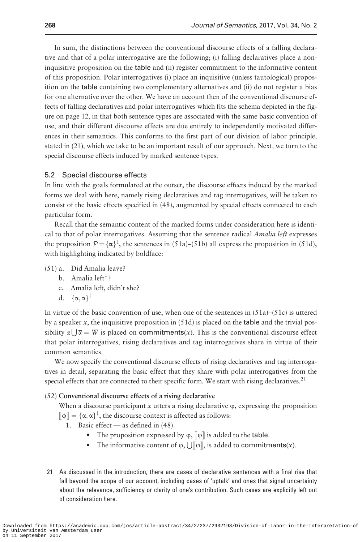In sum, the distinctions between the conventional discourse effects of a falling declarative and that of a polar interrogative are the following; (i) falling declaratives place a noninquisitive proposition on the table and (ii) register commitment to the informative content of this proposition. Polar interrogatives (i) place an inquisitive (unless tautological) proposition on the table containing two complementary alternatives and (ii) do not register a bias for one alternative over the other. We have an account then of the conventional discourse effects of falling declaratives and polar interrogatives which fits the schema depicted in the figure on page 12, in that both sentence types are associated with the same basic convention of use, and their different discourse effects are due entirely to independently motivated differences in their semantics. This conforms to the first part of our division of labor principle, stated in (21), which we take to be an important result of our approach. Next, we turn to the special discourse effects induced by marked sentence types.

## 5.2 Special discourse effects

In line with the goals formulated at the outset, the discourse effects induced by the marked forms we deal with here, namely rising declaratives and tag interrogatives, will be taken to consist of the basic effects specified in (48), augmented by special effects connected to each particular form.

Recall that the semantic content of the marked forms under consideration here is identical to that of polar interrogatives. Assuming that the sentence radical Amalia left expresses the proposition  $\mathcal{P} = {\alpha}^{\downarrow}$ , the sentences in (51a)–(51b) all express the proposition in (51d), with highlighting indicated by boldface:

- (51) a. Did Amalia leave?
	- b. Amalia left?
	- c. Amalia left, didn't she?
	- d.  $\{\alpha,\overline{\alpha}\}^{\downarrow}$

In virtue of the basic convention of use, when one of the sentences in  $(51a)$ – $(51c)$  is uttered by a speaker  $x$ , the inquisitive proposition in (51d) is placed on the **table** and the trivial possibility  $\alpha \cup \overline{\alpha} = W$  is placed on **commitments**(x). This is the conventional discourse effect that polar interrogatives, rising declaratives and tag interrogatives share in virtue of their common semantics.

We now specify the conventional discourse effects of rising declaratives and tag interrogatives in detail, separating the basic effect that they share with polar interrogatives from the special effects that are connected to their specific form. We start with rising declaratives.<sup>21</sup>

(52) Conventional discourse effects of a rising declarative

When a discourse participant  $x$  utters a rising declarative  $\varphi$ , expressing the proposition

- $[\![\boldsymbol{\phi}]\!] = {\{\alpha, \overline{\alpha}\}}^{\downarrow}$ , the discourse context is affected as follows:
	- 1. Basic effect as defined in (48)
		- The proposition expressed by  $\varphi$ ,  $\lbrack \varphi \rbrack$  is added to the table.
		- The informative content of  $\varphi$ ,  $\bigcup_{k=1}^{\infty} \varphi_k$ , is added to commitments(x).
- 21 As discussed in the introduction, there are cases of declarative sentences with a final rise that fall beyond the scope of our account, including cases of 'uptalk' and ones that signal uncertainty about the relevance, sufficiency or clarity of one's contribution. Such cases are explicitly left out of consideration here.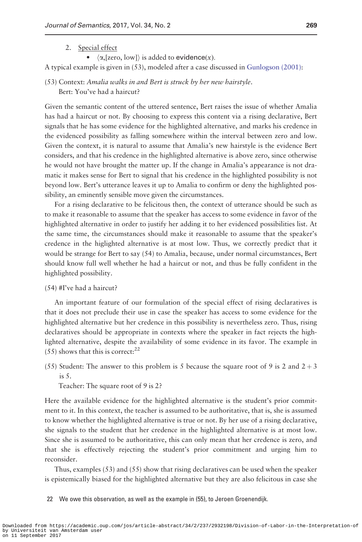# 2. Special effect

•  $\langle \alpha, [\text{zero}, \text{low}] \rangle$  is added to evidence(x).

A typical example is given in (53), modeled after a case discussed in [Gunlogson \(2001\)](#page-52-0):

- (53) Context: Amalia walks in and Bert is struck by her new hairstyle.
	- Bert: You've had a haircut?

Given the semantic content of the uttered sentence, Bert raises the issue of whether Amalia has had a haircut or not. By choosing to express this content via a rising declarative, Bert signals that he has some evidence for the highlighted alternative, and marks his credence in the evidenced possibility as falling somewhere within the interval between zero and low. Given the context, it is natural to assume that Amalia's new hairstyle is the evidence Bert considers, and that his credence in the highlighted alternative is above zero, since otherwise he would not have brought the matter up. If the change in Amalia's appearance is not dramatic it makes sense for Bert to signal that his credence in the highlighted possibility is not beyond low. Bert's utterance leaves it up to Amalia to confirm or deny the highlighted possibility, an eminently sensible move given the circumstances.

For a rising declarative to be felicitous then, the context of utterance should be such as to make it reasonable to assume that the speaker has access to some evidence in favor of the highlighted alternative in order to justify her adding it to her evidenced possibilities list. At the same time, the circumstances should make it reasonable to assume that the speaker's credence in the higlighted alternative is at most low. Thus, we correctly predict that it would be strange for Bert to say (54) to Amalia, because, under normal circumstances, Bert should know full well whether he had a haircut or not, and thus be fully confident in the highlighted possibility.

#### (54) #I've had a haircut?

An important feature of our formulation of the special effect of rising declaratives is that it does not preclude their use in case the speaker has access to some evidence for the highlighted alternative but her credence in this possibility is nevertheless zero. Thus, rising declaratives should be appropriate in contexts where the speaker in fact rejects the highlighted alternative, despite the availability of some evidence in its favor. The example in  $(55)$  shows that this is correct:<sup>22</sup>

(55) Student: The answer to this problem is 5 because the square root of 9 is 2 and  $2+3$ is 5.

Teacher: The square root of 9 is 2?

Here the available evidence for the highlighted alternative is the student's prior commitment to it. In this context, the teacher is assumed to be authoritative, that is, she is assumed to know whether the highlighted alternative is true or not. By her use of a rising declarative, she signals to the student that her credence in the highlighted alternative is at most low. Since she is assumed to be authoritative, this can only mean that her credence is zero, and that she is effectively rejecting the student's prior commitment and urging him to reconsider.

Thus, examples (53) and (55) show that rising declaratives can be used when the speaker is epistemically biased for the highlighted alternative but they are also felicitous in case she

22 We owe this observation, as well as the example in (55), to Jeroen Groenendijk.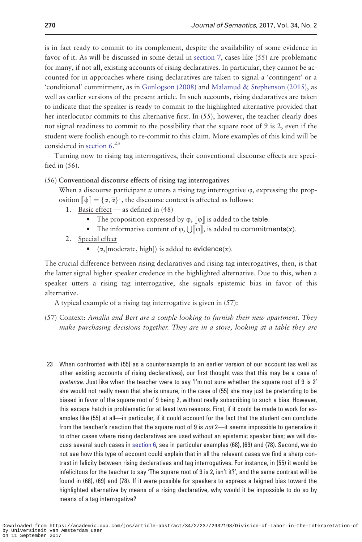is in fact ready to commit to its complement, despite the availability of some evidence in favor of it. As will be discussed in some detail in section 7, cases like (55) are problematic for many, if not all, existing accounts of rising declaratives. In particular, they cannot be accounted for in approaches where rising declaratives are taken to signal a 'contingent' or a 'conditional' commitment, as in [Gunlogson \(2008\)](#page-52-0) and [Malamud & Stephenson \(2015\)](#page-53-0), as well as earlier versions of the present article. In such accounts, rising declaratives are taken to indicate that the speaker is ready to commit to the highlighted alternative provided that her interlocutor commits to this alternative first. In (55), however, the teacher clearly does not signal readiness to commit to the possibility that the square root of 9 is 2, even if the student were foolish enough to re-commit to this claim. More examples of this kind will be considered in section 6. 23

Turning now to rising tag interrogatives, their conventional discourse effects are specified in (56).

# (56) Conventional discourse effects of rising tag interrogatives

When a discourse participant x utters a rising tag interrogative  $\varphi$ , expressing the proposition  $[\![\varphi]\!] = {\{\alpha, \overline{\alpha}\}}^{\downarrow}$ , the discourse context is affected as follows:

- 1. Basic effect as defined in (48)
	- The proposition expressed by  $\varphi$ ,  $\lbrack \varphi \rbrack$  is added to the table.
	- The informative content of  $\varphi$ ,  $\bigcup_{\alpha=1}^{\infty} \varphi$ , is added to commitments(x).
- 2. Special effect
	- $\langle \alpha, [\text{moderate}, \text{high}] \rangle$  is added to evidence(x).

The crucial difference between rising declaratives and rising tag interrogatives, then, is that the latter signal higher speaker credence in the highlighted alternative. Due to this, when a speaker utters a rising tag interrogative, she signals epistemic bias in favor of this alternative.

A typical example of a rising tag interrogative is given in (57):

- (57) Context: Amalia and Bert are a couple looking to furnish their new apartment. They make purchasing decisions together. They are in a store, looking at a table they are
- 23 When confronted with (55) as a counterexample to an earlier version of our account (as well as other existing accounts of rising declaratives), our first thought was that this may be a case of pretense. Just like when the teacher were to say 'I'm not sure whether the square root of 9 is 2' she would not really mean that she is unsure, in the case of (55) she may just be pretending to be biased in favor of the square root of 9 being 2, without really subscribing to such a bias. However, this escape hatch is problematic for at least two reasons. First, if it could be made to work for examples like (55) at all—in particular, if it could account for the fact that the student can conclude from the teacher's reaction that the square root of 9 is not 2—it seems impossible to generalize it to other cases where rising declaratives are used without an epistemic speaker bias; we will discuss several such cases in section 6, see in particular examples (68), (69) and (78). Second, we do not see how this type of account could explain that in all the relevant cases we find a sharp contrast in felicity between rising declaratives and tag interrogatives. For instance, in (55) it would be infelicitous for the teacher to say 'The square root of 9 is 2, isn't it?', and the same contrast will be found in (68), (69) and (78). If it were possible for speakers to express a feigned bias toward the highlighted alternative by means of a rising declarative, why would it be impossible to do so by means of a tag interrogative?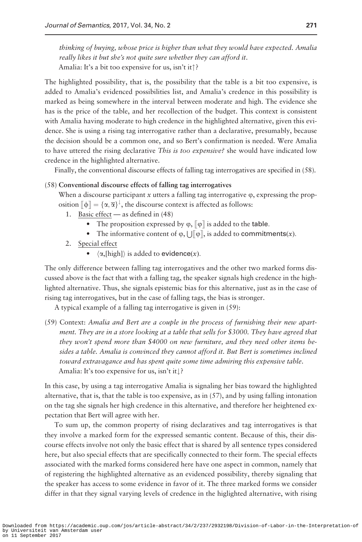thinking of buying, whose price is higher than what they would have expected. Amalia really likes it but she's not quite sure whether they can afford it. Amalia: It's a bit too expensive for us, isn't it?

The highlighted possibility, that is, the possibility that the table is a bit too expensive, is added to Amalia's evidenced possibilities list, and Amalia's credence in this possibility is marked as being somewhere in the interval between moderate and high. The evidence she has is the price of the table, and her recollection of the budget. This context is consistent with Amalia having moderate to high credence in the highlighted alternative, given this evidence. She is using a rising tag interrogative rather than a declarative, presumably, because the decision should be a common one, and so Bert's confirmation is needed. Were Amalia to have uttered the rising declarative This is too expensive? she would have indicated low credence in the highlighted alternative.

Finally, the conventional discourse effects of falling tag interrogatives are specified in (58).

# (58) Conventional discourse effects of falling tag interrogatives

When a discourse participant  $x$  utters a falling tag interrogative  $\varphi$ , expressing the proposition  $[\![\varphi]\!] = {\{\alpha, \overline{\alpha}\}}^{\downarrow}$ , the discourse context is affected as follows:

- 1. Basic effect as defined in (48)
	- The proposition expressed by  $\varphi$ ,  $\lbrack \varphi \rbrack$  is added to the table.
	- The informative content of  $\varphi$ ,  $\bigcup_{k=1}^{\infty} \varphi_k^{\parallel}$ , is added to commitments(x).
- 2. Special effect
	- $\langle \alpha, [\text{high}] \rangle$  is added to evidence(x).

The only difference between falling tag interrogatives and the other two marked forms discussed above is the fact that with a falling tag, the speaker signals high credence in the highlighted alternative. Thus, she signals epistemic bias for this alternative, just as in the case of rising tag interrogatives, but in the case of falling tags, the bias is stronger.

A typical example of a falling tag interrogative is given in (59):

(59) Context: Amalia and Bert are a couple in the process of furnishing their new apartment. They are in a store looking at a table that sells for \$3000. They have agreed that they won't spend more than \$4000 on new furniture, and they need other items besides a table. Amalia is convinced they cannot afford it. But Bert is sometimes inclined toward extravagance and has spent quite some time admiring this expensive table. Amalia: It's too expensive for us, isn't it  $\}$ ?

In this case, by using a tag interrogative Amalia is signaling her bias toward the highlighted alternative, that is, that the table is too expensive, as in (57), and by using falling intonation on the tag she signals her high credence in this alternative, and therefore her heightened expectation that Bert will agree with her.

To sum up, the common property of rising declaratives and tag interrogatives is that they involve a marked form for the expressed semantic content. Because of this, their discourse effects involve not only the basic effect that is shared by all sentence types considered here, but also special effects that are specifically connected to their form. The special effects associated with the marked forms considered here have one aspect in common, namely that of registering the highlighted alternative as an evidenced possibility, thereby signaling that the speaker has access to some evidence in favor of it. The three marked forms we consider differ in that they signal varying levels of credence in the higlighted alternative, with rising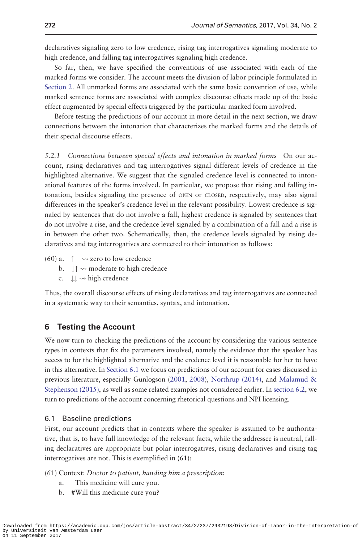declaratives signaling zero to low credence, rising tag interrogatives signaling moderate to high credence, and falling tag interrogatives signaling high credence.

So far, then, we have specified the conventions of use associated with each of the marked forms we consider. The account meets the division of labor principle formulated in Section 2. All unmarked forms are associated with the same basic convention of use, while marked sentence forms are associated with complex discourse effects made up of the basic effect augmented by special effects triggered by the particular marked form involved.

Before testing the predictions of our account in more detail in the next section, we draw connections between the intonation that characterizes the marked forms and the details of their special discourse effects.

5.2.1 Connections between special effects and intonation in marked forms On our account, rising declaratives and tag interrogatives signal different levels of credence in the highlighted alternative. We suggest that the signaled credence level is connected to intonational features of the forms involved. In particular, we propose that rising and falling intonation, besides signaling the presence of OPEN or CLOSED, respectively, may also signal differences in the speaker's credence level in the relevant possibility. Lowest credence is signaled by sentences that do not involve a fall, highest credence is signaled by sentences that do not involve a rise, and the credence level signaled by a combination of a fall and a rise is in between the other two. Schematically, then, the credence levels signaled by rising declaratives and tag interrogatives are connected to their intonation as follows:

(60) a.  $\uparrow \rightsquigarrow$  zero to low credence

- b.  $\|\uparrow\|$  moderate to high credence
- c.  $\downarrow \downarrow \rightsquigarrow$  high credence

Thus, the overall discourse effects of rising declaratives and tag interrogatives are connected in a systematic way to their semantics, syntax, and intonation.

# 6 Testing the Account

We now turn to checking the predictions of the account by considering the various sentence types in contexts that fix the parameters involved, namely the evidence that the speaker has access to for the highlighted alternative and the credence level it is reasonable for her to have in this alternative. In Section 6.1 we focus on predictions of our account for cases discussed in previous literature, especially Gunlogson [\(2001](#page-52-0), [2008](#page-52-0)), [Northrup \(2014\),](#page-53-0) and [Malamud &](#page-53-0) [Stephenson \(2015\)](#page-53-0), as well as some related examples not considered earlier. In section 6.2, we turn to predictions of the account concerning rhetorical questions and NPI licensing.

## 6.1 Baseline predictions

First, our account predicts that in contexts where the speaker is assumed to be authoritative, that is, to have full knowledge of the relevant facts, while the addressee is neutral, falling declaratives are appropriate but polar interrogatives, rising declaratives and rising tag interrogatives are not. This is exemplified in (61):

(61) Context: Doctor to patient, handing him a prescription:

- a. This medicine will cure you.
- b. #Will this medicine cure you?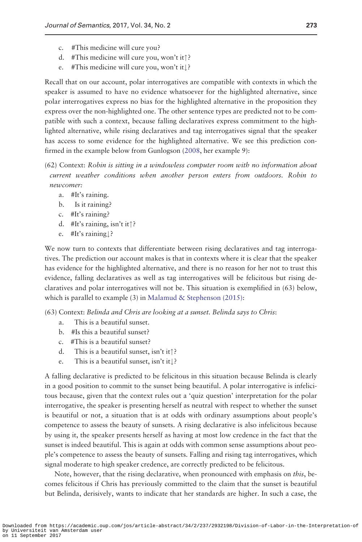- c. #This medicine will cure you?
- d. #This medicine will cure you, won't it?
- e. #This medicine will cure you, won't it  $\}$ ?

Recall that on our account, polar interrogatives are compatible with contexts in which the speaker is assumed to have no evidence whatsoever for the highlighted alternative, since polar interrogatives express no bias for the highlighted alternative in the proposition they express over the non-highlighted one. The other sentence types are predicted not to be compatible with such a context, because falling declaratives express commitment to the highlighted alternative, while rising declaratives and tag interrogatives signal that the speaker has access to some evidence for the highlighted alternative. We see this prediction confirmed in the example below from Gunlogson ([2008](#page-52-0), her example 9):

- (62) Context: Robin is sitting in a windowless computer room with no information about current weather conditions when another person enters from outdoors. Robin to newcomer:
	- a. #It's raining.
	- b. Is it raining?
	- c. #It's raining?
	- d. #It's raining, isn't it?
	- e.  $#It's raining$ :

We now turn to contexts that differentiate between rising declaratives and tag interrogatives. The prediction our account makes is that in contexts where it is clear that the speaker has evidence for the highlighted alternative, and there is no reason for her not to trust this evidence, falling declaratives as well as tag interrogatives will be felicitous but rising declaratives and polar interrogatives will not be. This situation is exemplified in (63) below, which is parallel to example  $(3)$  in [Malamud](#page-53-0) & Stephenson  $(2015)$ :

- (63) Context: Belinda and Chris are looking at a sunset. Belinda says to Chris:
	- a. This is a beautiful sunset.
	- b. #Is this a beautiful sunset?
	- c. #This is a beautiful sunset?
	- d. This is a beautiful sunset, isn't it?
	- e. This is a beautiful sunset, isn't it  $\mathbb{R}^2$ ?

A falling declarative is predicted to be felicitous in this situation because Belinda is clearly in a good position to commit to the sunset being beautiful. A polar interrogative is infelicitous because, given that the context rules out a 'quiz question' interpretation for the polar interrogative, the speaker is presenting herself as neutral with respect to whether the sunset is beautiful or not, a situation that is at odds with ordinary assumptions about people's competence to assess the beauty of sunsets. A rising declarative is also infelicitous because by using it, the speaker presents herself as having at most low credence in the fact that the sunset is indeed beautiful. This is again at odds with common sense assumptions about people's competence to assess the beauty of sunsets. Falling and rising tag interrogatives, which signal moderate to high speaker credence, are correctly predicted to be felicitous.

Note, however, that the rising declarative, when pronounced with emphasis on this, becomes felicitous if Chris has previously committed to the claim that the sunset is beautiful but Belinda, derisively, wants to indicate that her standards are higher. In such a case, the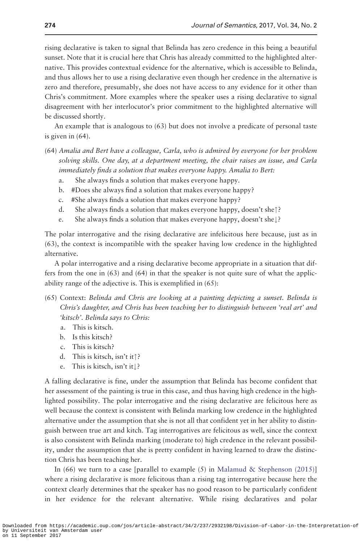rising declarative is taken to signal that Belinda has zero credence in this being a beautiful sunset. Note that it is crucial here that Chris has already committed to the highlighted alternative. This provides contextual evidence for the alternative, which is accessible to Belinda, and thus allows her to use a rising declarative even though her credence in the alternative is zero and therefore, presumably, she does not have access to any evidence for it other than Chris's commitment. More examples where the speaker uses a rising declarative to signal disagreement with her interlocutor's prior commitment to the highlighted alternative will be discussed shortly.

An example that is analogous to (63) but does not involve a predicate of personal taste is given in (64).

- (64) Amalia and Bert have a colleague, Carla, who is admired by everyone for her problem solving skills. One day, at a department meeting, the chair raises an issue, and Carla immediately finds a solution that makes everyone happy. Amalia to Bert:
	- a. She always finds a solution that makes everyone happy.
	- b. #Does she always find a solution that makes everyone happy?
	- c. #She always finds a solution that makes everyone happy?
	- d. She always finds a solution that makes everyone happy, doesn't she $\uparrow$ ?
	- e. She always finds a solution that makes everyone happy, doesn't she $\downarrow$ ?

The polar interrogative and the rising declarative are infelicitous here because, just as in (63), the context is incompatible with the speaker having low credence in the highlighted alternative.

A polar interrogative and a rising declarative become appropriate in a situation that differs from the one in  $(63)$  and  $(64)$  in that the speaker is not quite sure of what the applicability range of the adjective is. This is exemplified in (65):

- (65) Context: Belinda and Chris are looking at a painting depicting a sunset. Belinda is Chris's daughter, and Chris has been teaching her to distinguish between 'real art' and 'kitsch'. Belinda says to Chris:
	- a. This is kitsch.
	- b. Is this kitsch?
	- c. This is kitsch?
	- d. This is kitsch, isn't it??
	- e. This is kitsch, isn't it $\downarrow$ ?

A falling declarative is fine, under the assumption that Belinda has become confident that her assessment of the painting is true in this case, and thus having high credence in the highlighted possibility. The polar interrogative and the rising declarative are felicitous here as well because the context is consistent with Belinda marking low credence in the highlighted alternative under the assumption that she is not all that confident yet in her ability to distinguish between true art and kitch. Tag interrogatives are felicitous as well, since the context is also consistent with Belinda marking (moderate to) high credence in the relevant possibility, under the assumption that she is pretty confident in having learned to draw the distinction Chris has been teaching her.

In  $(66)$  we turn to a case [parallel to example  $(5)$  in Malamud & Stephenson  $(2015)$ ] where a rising declarative is more felicitous than a rising tag interrogative because here the context clearly determines that the speaker has no good reason to be particularly confident in her evidence for the relevant alternative. While rising declaratives and polar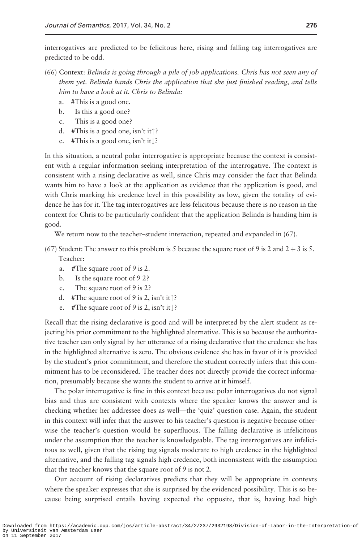interrogatives are predicted to be felicitous here, rising and falling tag interrogatives are predicted to be odd.

- (66) Context: Belinda is going through a pile of job applications. Chris has not seen any of them yet. Belinda hands Chris the application that she just finished reading, and tells him to have a look at it. Chris to Belinda:
	- a. #This is a good one.
	- b. Is this a good one?
	- c. This is a good one?
	- d. #This is a good one, isn't it?
	- e. #This is a good one, isn't it $\downarrow$ ?

In this situation, a neutral polar interrogative is appropriate because the context is consistent with a regular information seeking interpretation of the interrogative. The context is consistent with a rising declarative as well, since Chris may consider the fact that Belinda wants him to have a look at the application as evidence that the application is good, and with Chris marking his credence level in this possibility as low, given the totality of evidence he has for it. The tag interrogatives are less felicitous because there is no reason in the context for Chris to be particularly confident that the application Belinda is handing him is good.

We return now to the teacher–student interaction, repeated and expanded in  $(67)$ .

- (67) Student: The answer to this problem is 5 because the square root of 9 is 2 and  $2 + 3$  is 5. Teacher:
	- a. #The square root of 9 is 2.
	- b. Is the square root of 9 2?
	- c. The square root of 9 is 2?
	- d. #The square root of 9 is 2, isn't it?
	- e. #The square root of 9 is 2, isn't it  $\}$ ?

Recall that the rising declarative is good and will be interpreted by the alert student as rejecting his prior commitment to the highlighted alternative. This is so because the authoritative teacher can only signal by her utterance of a rising declarative that the credence she has in the highlighted alternative is zero. The obvious evidence she has in favor of it is provided by the student's prior commitment, and therefore the student correctly infers that this commitment has to be reconsidered. The teacher does not directly provide the correct information, presumably because she wants the student to arrive at it himself.

The polar interrogative is fine in this context because polar interrogatives do not signal bias and thus are consistent with contexts where the speaker knows the answer and is checking whether her addressee does as well—the 'quiz' question case. Again, the student in this context will infer that the answer to his teacher's question is negative because otherwise the teacher's question would be superfluous. The falling declarative is infelicitous under the assumption that the teacher is knowledgeable. The tag interrogatives are infelicitous as well, given that the rising tag signals moderate to high credence in the highlighted alternative, and the falling tag signals high credence, both inconsistent with the assumption that the teacher knows that the square root of 9 is not 2.

Our account of rising declaratives predicts that they will be appropriate in contexts where the speaker expresses that she is surprised by the evidenced possibility. This is so because being surprised entails having expected the opposite, that is, having had high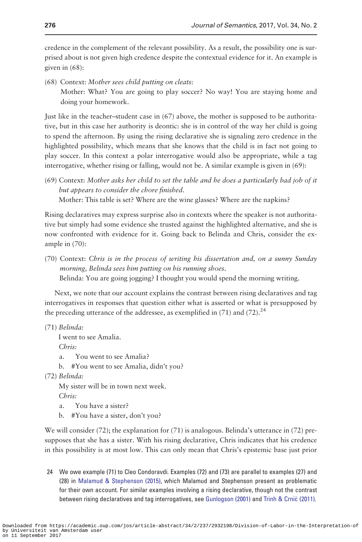credence in the complement of the relevant possibility. As a result, the possibility one is surprised about is not given high credence despite the contextual evidence for it. An example is given in (68):

- (68) Context: Mother sees child putting on cleats:
	- Mother: What? You are going to play soccer? No way! You are staying home and doing your homework.

Just like in the teacher–student case in (67) above, the mother is supposed to be authoritative, but in this case her authority is deontic: she is in control of the way her child is going to spend the afternoon. By using the rising declarative she is signaling zero credence in the highlighted possibility, which means that she knows that the child is in fact not going to play soccer. In this context a polar interrogative would also be appropriate, while a tag interrogative, whether rising or falling, would not be. A similar example is given in (69):

(69) Context: Mother asks her child to set the table and he does a particularly bad job of it but appears to consider the chore finished.

Mother: This table is set? Where are the wine glasses? Where are the napkins?

Rising declaratives may express surprise also in contexts where the speaker is not authoritative but simply had some evidence she trusted against the highlighted alternative, and she is now confronted with evidence for it. Going back to Belinda and Chris, consider the example in (70):

(70) Context: Chris is in the process of writing his dissertation and, on a sunny Sunday morning, Belinda sees him putting on his running shoes. Belinda: You are going jogging? I thought you would spend the morning writing.

Next, we note that our account explains the contrast between rising declaratives and tag interrogatives in responses that question either what is asserted or what is presupposed by the preceding utterance of the addressee, as exemplified in  $(71)$  and  $(72)$ .<sup>24</sup>

(71) Belinda:

I went to see Amalia.

Chris:

a. You went to see Amalia?

b. #You went to see Amalia, didn't you?

(72) Belinda:

My sister will be in town next week.

Chris:

- a. You have a sister?
- b. #You have a sister, don't you?

We will consider  $(72)$ ; the explanation for  $(71)$  is analogous. Belinda's utterance in  $(72)$  presupposes that she has a sister. With his rising declarative, Chris indicates that his credence in this possibility is at most low. This can only mean that Chris's epistemic base just prior

24 We owe example (71) to Cleo Condoravdi. Examples (72) and (73) are parallel to examples (27) and (28) in [Malamud & Stephenson \(2015\)](#page-53-0), which Malamud and Stephenson present as problematic for their own account. For similar examples involving a rising declarative, though not the contrast between rising declaratives and tag interrogatives, see [Gunlogson \(2001\)](#page-52-0) and [Trinh](#page-53-0) [& Crni](#page-53-0)č (2011).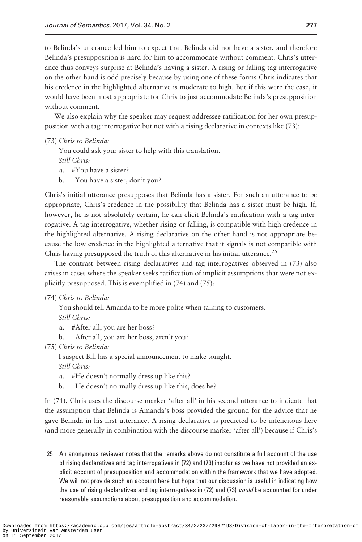to Belinda's utterance led him to expect that Belinda did not have a sister, and therefore Belinda's presupposition is hard for him to accommodate without comment. Chris's utterance thus conveys surprise at Belinda's having a sister. A rising or falling tag interrogative on the other hand is odd precisely because by using one of these forms Chris indicates that his credence in the highlighted alternative is moderate to high. But if this were the case, it would have been most appropriate for Chris to just accommodate Belinda's presupposition without comment.

We also explain why the speaker may request addressee ratification for her own presupposition with a tag interrogative but not with a rising declarative in contexts like (73):

(73) Chris to Belinda:

You could ask your sister to help with this translation. Still Chris:

- a. #You have a sister?
- b. You have a sister, don't you?

Chris's initial utterance presupposes that Belinda has a sister. For such an utterance to be appropriate, Chris's credence in the possibility that Belinda has a sister must be high. If, however, he is not absolutely certain, he can elicit Belinda's ratification with a tag interrogative. A tag interrogative, whether rising or falling, is compatible with high credence in the highlighted alternative. A rising declarative on the other hand is not appropriate because the low credence in the highlighted alternative that it signals is not compatible with Chris having presupposed the truth of this alternative in his initial utterance.<sup>25</sup>

The contrast between rising declaratives and tag interrogatives observed in (73) also arises in cases where the speaker seeks ratification of implicit assumptions that were not explicitly presupposed. This is exemplified in (74) and (75):

(74) Chris to Belinda:

You should tell Amanda to be more polite when talking to customers.

Still Chris:

- a. #After all, you are her boss?
- b. After all, you are her boss, aren't you?
- (75) Chris to Belinda:

I suspect Bill has a special announcement to make tonight. Still Chris:

- a. #He doesn't normally dress up like this?
- b. He doesn't normally dress up like this, does he?

In (74), Chris uses the discourse marker 'after all' in his second utterance to indicate that the assumption that Belinda is Amanda's boss provided the ground for the advice that he gave Belinda in his first utterance. A rising declarative is predicted to be infelicitous here (and more generally in combination with the discourse marker 'after all') because if Chris's

25 An anonymous reviewer notes that the remarks above do not constitute a full account of the use of rising declaratives and tag interrogatives in (72) and (73) insofar as we have not provided an explicit account of presupposition and accommodation within the framework that we have adopted. We will not provide such an account here but hope that our discussion is useful in indicating how the use of rising declaratives and tag interrogatives in (72) and (73) could be accounted for under reasonable assumptions about presupposition and accommodation.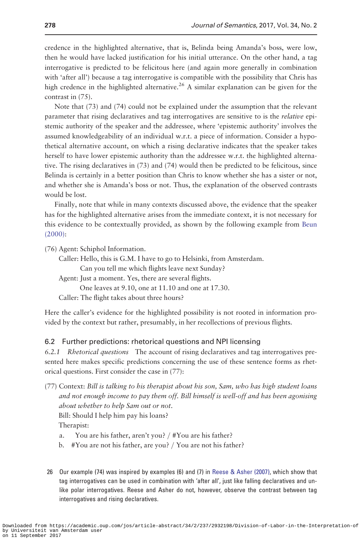credence in the highlighted alternative, that is, Belinda being Amanda's boss, were low, then he would have lacked justification for his initial utterance. On the other hand, a tag interrogative is predicted to be felicitous here (and again more generally in combination with 'after all') because a tag interrogative is compatible with the possibility that Chris has high credence in the highlighted alternative.<sup>26</sup> A similar explanation can be given for the contrast in (75).

Note that (73) and (74) could not be explained under the assumption that the relevant parameter that rising declaratives and tag interrogatives are sensitive to is the relative epistemic authority of the speaker and the addressee, where 'epistemic authority' involves the assumed knowledgeability of an individual w.r.t. a piece of information. Consider a hypothetical alternative account, on which a rising declarative indicates that the speaker takes herself to have lower epistemic authority than the addressee w.r.t. the highlighted alternative. The rising declaratives in (73) and (74) would then be predicted to be felicitous, since Belinda is certainly in a better position than Chris to know whether she has a sister or not, and whether she is Amanda's boss or not. Thus, the explanation of the observed contrasts would be lost.

Finally, note that while in many contexts discussed above, the evidence that the speaker has for the highlighted alternative arises from the immediate context, it is not necessary for this evidence to be contextually provided, as shown by the following example from [Beun](#page-51-0) [\(2000\)](#page-51-0):

(76) Agent: Schiphol Information.

Caller: Hello, this is G.M. I have to go to Helsinki, from Amsterdam.

Can you tell me which flights leave next Sunday?

Agent: Just a moment. Yes, there are several flights.

One leaves at 9.10, one at 11.10 and one at 17.30.

Caller: The flight takes about three hours?

Here the caller's evidence for the highlighted possibility is not rooted in information provided by the context but rather, presumably, in her recollections of previous flights.

# 6.2 Further predictions: rhetorical questions and NPI licensing

6.2.1 Rhetorical questions The account of rising declaratives and tag interrogatives presented here makes specific predictions concerning the use of these sentence forms as rhetorical questions. First consider the case in (77):

(77) Context: Bill is talking to his therapist about his son, Sam, who has high student loans and not enough income to pay them off. Bill himself is well-off and has been agonising about whether to help Sam out or not. Bill: Should I help him pay his loans?

Therapist:

- a. You are his father, aren't you?  $/$  #You are his father?
- b.  $\#$ You are not his father, are you? / You are not his father?
- 26 Our example (74) was inspired by examples (6) and (7) in [Reese & Asher \(2007\),](#page-53-0) which show that tag interrogatives can be used in combination with 'after all', just like falling declaratives and unlike polar interrogatives. Reese and Asher do not, however, observe the contrast between tag interrogatives and rising declaratives.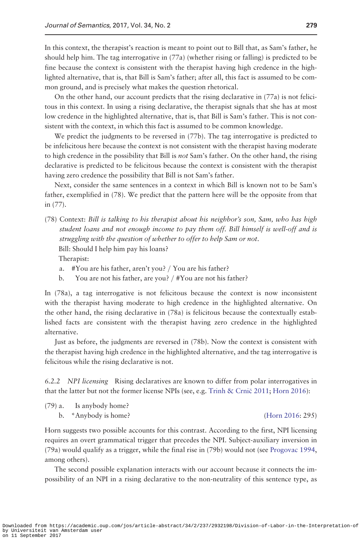In this context, the therapist's reaction is meant to point out to Bill that, as Sam's father, he should help him. The tag interrogative in (77a) (whether rising or falling) is predicted to be fine because the context is consistent with the therapist having high credence in the highlighted alternative, that is, that Bill is Sam's father; after all, this fact is assumed to be common ground, and is precisely what makes the question rhetorical.

On the other hand, our account predicts that the rising declarative in (77a) is not felicitous in this context. In using a rising declarative, the therapist signals that she has at most low credence in the highlighted alternative, that is, that Bill is Sam's father. This is not consistent with the context, in which this fact is assumed to be common knowledge.

We predict the judgments to be reversed in (77b). The tag interrogative is predicted to be infelicitous here because the context is not consistent with the therapist having moderate to high credence in the possibility that Bill is *not* Sam's father. On the other hand, the rising declarative is predicted to be felicitous because the context is consistent with the therapist having zero credence the possibility that Bill is not Sam's father.

Next, consider the same sentences in a context in which Bill is known not to be Sam's father, exemplified in (78). We predict that the pattern here will be the opposite from that in (77).

- (78) Context: Bill is talking to his therapist about his neighbor's son, Sam, who has high student loans and not enough income to pay them off. Bill himself is well-off and is struggling with the question of whether to offer to help Sam or not. Bill: Should I help him pay his loans? Therapist:
	- a.  $\#$ You are his father, aren't you? / You are his father?
	- b. You are not his father, are you?  $/$  #You are not his father?

In (78a), a tag interrogative is not felicitous because the context is now inconsistent with the therapist having moderate to high credence in the highlighted alternative. On the other hand, the rising declarative in (78a) is felicitous because the contextually established facts are consistent with the therapist having zero credence in the highlighted alternative.

Just as before, the judgments are reversed in (78b). Now the context is consistent with the therapist having high credence in the highlighted alternative, and the tag interrogative is felicitous while the rising declarative is not.

6.2.2 NPI licensing Rising declaratives are known to differ from polar interrogatives in that the latter but not the former license NPIs (see, e.g. [Trinh & Crni](#page-53-0)č 2011; [Horn 2016](#page-52-0)):

(79) a. Is anybody home?

Horn suggests two possible accounts for this contrast. According to the first, NPI licensing requires an overt grammatical trigger that precedes the NPI. Subject-auxiliary inversion in (79a) would qualify as a trigger, while the final rise in (79b) would not (see [Progovac 1994](#page-53-0), among others).

The second possible explanation interacts with our account because it connects the impossibility of an NPI in a rising declarative to the non-neutrality of this sentence type, as

Downloaded from https://academic.oup.com/jos/article-abstract/34/2/237/2932198/Division-of-Labor-in-the-Interpretation-of by Universiteit van Amsterdam user on 11 September 2017

b. \*Anybody is home? ([Horn 2016](#page-52-0): 295)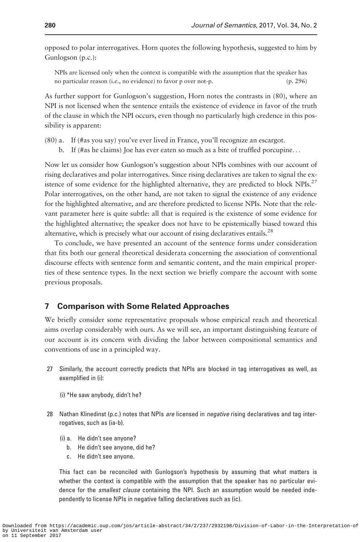opposed to polar interrogatives. Horn quotes the following hypothesis, suggested to him by Gunlogson (p.c.):

NPIs are licensed only when the context is compatible with the assumption that the speaker has no particular reason (i.e., no evidence) to favor p over not-p. (p. 296)

As further support for Gunlogson's suggestion, Horn notes the contrasts in (80), where an NPI is not licensed when the sentence entails the existence of evidence in favor of the truth of the clause in which the NPI occurs, even though no particularly high credence in this possibility is apparent:

- (80) a. If (#as you say) you've ever lived in France, you'll recognize an escargot.
	- b. If (#as he claims) Joe has ever eaten so much as a bite of truffled porcupine...

Now let us consider how Gunlogson's suggestion about NPIs combines with our account of rising declaratives and polar interrogatives. Since rising declaratives are taken to signal the existence of some evidence for the highlighted alternative, they are predicted to block NPIs.<sup>27</sup> Polar interrogatives, on the other hand, are not taken to signal the existence of any evidence for the highlighted alternative, and are therefore predicted to license NPIs. Note that the relevant parameter here is quite subtle: all that is required is the existence of some evidence for the highlighted alternative; the speaker does not have to be epistemically biased toward this alternative, which is precisely what our account of rising declaratives entails.<sup>28</sup>

To conclude, we have presented an account of the sentence forms under consideration that fits both our general theoretical desiderata concerning the association of conventional discourse effects with sentence form and semantic content, and the main empirical properties of these sentence types. In the next section we briefly compare the account with some previous proposals.

# 7 Comparison with Some Related Approaches

We briefly consider some representative proposals whose empirical reach and theoretical aims overlap considerably with ours. As we will see, an important distinguishing feature of our account is its concern with dividing the labor between compositional semantics and conventions of use in a principled way.

- 27 Similarly, the account correctly predicts that NPIs are blocked in tag interrogatives as well, as exemplified in (i):
	- (i) \*He saw anybody, didn't he?
- 28 Nathan Klinedinst (p.c.) notes that NPIs are licensed in negative rising declaratives and tag interrogatives, such as (ia-b).
	- (i) a. He didn't see anyone?
		- b. He didn't see anyone, did he?
		- c. He didn't see anyone.

This fact can be reconciled with Gunlogson's hypothesis by assuming that what matters is whether the context is compatible with the assumption that the speaker has no particular evidence for the *smallest clause* containing the NPI. Such an assumption would be needed independently to license NPIs in negative falling declaratives such as (ic).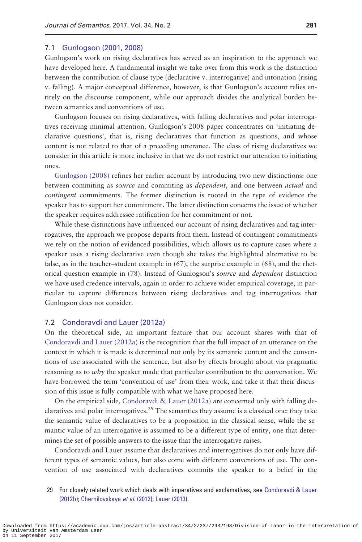#### 7.1 [Gunlogson \(2001](#page-52-0), [2008](#page-52-0))

Gunlogson's work on rising declaratives has served as an inspiration to the approach we have developed here. A fundamental insight we take over from this work is the distinction between the contribution of clause type (declarative v. interrogative) and intonation (rising v. falling). A major conceptual difference, however, is that Gunlogson's account relies entirely on the discourse component, while our approach divides the analytical burden between semantics and conventions of use.

Gunlogson focuses on rising declaratives, with falling declaratives and polar interrogatives receiving minimal attention. Gunlogson's 2008 paper concentrates on 'initiating declarative questions', that is, rising declaratives that function as questions, and whose content is not related to that of a preceding utterance. The class of rising declaratives we consider in this article is more inclusive in that we do not restrict our attention to initiating ones.

[Gunlogson \(2008\)](#page-52-0) refines her earlier account by introducing two new distinctions: one between commiting as *source* and commiting as *dependent*, and one between *actual* and contingent commitments. The former distinction is rooted in the type of evidence the speaker has to support her commitment. The latter distinction concerns the issue of whether the speaker requires addressee ratification for her commitment or not.

While these distinctions have influenced our account of rising declaratives and tag interrogatives, the approach we propose departs from them. Instead of contingent commitments we rely on the notion of evidenced possibilities, which allows us to capture cases where a speaker uses a rising declarative even though she takes the highlighted alternative to be false, as in the teacher–student example in (67), the surprise example in (68), and the rhetorical question example in (78). Instead of Gunlogson's source and dependent distinction we have used credence intervals, again in order to achieve wider empirical coverage, in particular to capture differences between rising declaratives and tag interrogatives that Gunlogson does not consider.

#### 7.2 [Condoravdi and Lauer \(2012a\)](#page-51-0)

On the theoretical side, an important feature that our account shares with that of [Condoravdi and Lauer \(2012a\)](#page-51-0) is the recognition that the full impact of an utterance on the context in which it is made is determined not only by its semantic content and the conventions of use associated with the sentence, but also by effects brought about via pragmatic reasoning as to why the speaker made that particular contribution to the conversation. We have borrowed the term 'convention of use' from their work, and take it that their discussion of this issue is fully compatible with what we have proposed here.

On the empirical side, [Condoravdi & Lauer \(2012a\)](#page-51-0) are concerned only with falling declaratives and polar interrogatives.<sup>29</sup> The semantics they assume is a classical one: they take the semantic value of declaratives to be a proposition in the classical sense, while the semantic value of an interrogative is assumed to be a different type of entity, one that determines the set of possible answers to the issue that the interrogative raises.

Condoravdi and Lauer assume that declaratives and interrogatives do not only have different types of semantic values, but also come with different conventions of use. The convention of use associated with declaratives commits the speaker to a belief in the

<sup>29</sup> For closely related work which deals with imperatives and exclamatives, see [Condoravdi & Lauer](#page-52-0) [\(2012b](#page-52-0)); [Chernilovskaya](#page-51-0) et al. (2012); [Lauer \(2013\)](#page-52-0).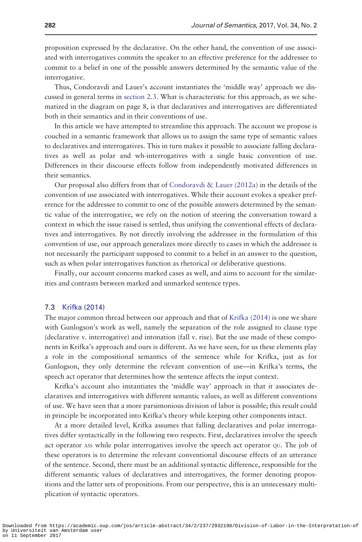proposition expressed by the declarative. On the other hand, the convention of use associated with interrogatives commits the speaker to an effective preference for the addressee to commit to a belief in one of the possible answers determined by the semantic value of the interrogative.

Thus, Condoravdi and Lauer's account instantiates the 'middle way' approach we discussed in general terms in section 2.3. What is characteristic for this approach, as we schematized in the diagram on page 8, is that declaratives and interrogatives are differentiated both in their semantics and in their conventions of use.

In this article we have attempted to streamline this approach. The account we propose is couched in a semantic framework that allows us to assign the same type of semantic values to declaratives and interrogatives. This in turn makes it possible to associate falling declaratives as well as polar and wh-interrogatives with a single basic convention of use. Differences in their discourse effects follow from independently motivated differences in their semantics.

Our proposal also differs from that of [Condoravdi](#page-51-0) [& Lauer \(2012a\)](#page-51-0) in the details of the convention of use associated with interrogatives. While their account evokes a speaker preference for the addressee to commit to one of the possible answers determined by the semantic value of the interrogative, we rely on the notion of steering the conversation toward a context in which the issue raised is settled, thus unifying the conventional effects of declaratives and interrogatives. By not directly involving the addressee in the formulation of this convention of use, our approach generalizes more directly to cases in which the addressee is not necessarily the participant supposed to commit to a belief in an answer to the question, such as when polar interrogatives function as rhetorical or deliberative questions.

Finally, our account concerns marked cases as well, and aims to account for the similarities and contrasts between marked and unmarked sentence types.

#### 7.3 [Krifka \(2014\)](#page-52-0)

The major common thread between our approach and that of [Krifka \(2014\)](#page-52-0) is one we share with Gunlogson's work as well, namely the separation of the role assigned to clause type (declarative v. interrogative) and intonation (fall v. rise). But the use made of these components in Krifka's approach and ours is different. As we have seen, for us these elements play a role in the compositional semantics of the sentence while for Krifka, just as for Gunlogson, they only determine the relevant convention of use—in Krifka's terms, the speech act operator that determines how the sentence affects the input context.

Krifka's account also instantiates the 'middle way' approach in that it associates declaratives and interrogatives with different semantic values, as well as different conventions of use. We have seen that a more parsimonious division of labor is possible; this result could in principle be incorporated into Krifka's theory while keeping other components intact.

At a more detailed level, Krifka assumes that falling declaratives and polar interrogatives differ syntactically in the following two respects. First, declaratives involve the speech act operator ASS while polar interrogatives involve the speech act operator QU. The job of these operators is to determine the relevant conventional discourse effects of an utterance of the sentence. Second, there must be an additional syntactic difference, responsible for the different semantic values of declaratives and interrogatives, the former denoting propositions and the latter sets of propositions. From our perspective, this is an unnecessary multiplication of syntactic operators.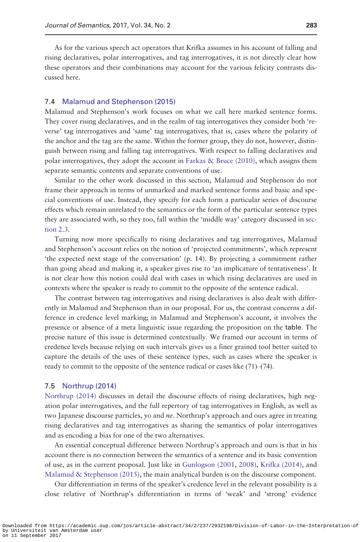As for the various speech act operators that Krifka assumes in his account of falling and rising declaratives, polar interrogatives, and tag interrogatives, it is not directly clear how these operators and their combinations may account for the various felicity contrasts discussed here.

## 7.4 [Malamud and Stephenson \(2015\)](#page-53-0)

Malamud and Stephenson's work focuses on what we call here marked sentence forms. They cover rising declaratives, and in the realm of tag interrogatives they consider both 'reverse' tag interrogatives and 'same' tag interrogatives, that is, cases where the polarity of the anchor and the tag are the same. Within the former group, they do not, however, distinguish between rising and falling tag interrogatives. With respect to falling declaratives and polar interrogatives, they adopt the account in [Farkas & Bruce \(2010\),](#page-52-0) which assigns them separate semantic contents and separate conventions of use.

Similar to the other work discussed in this section, Malamud and Stephenson do not frame their approach in terms of unmarked and marked sentence forms and basic and special conventions of use. Instead, they specify for each form a particular series of discourse effects which remain unrelated to the semantics or the form of the particular sentence types they are associated with, so they too, fall within the 'middle way' category discussed in section 2.3.

Turning now more specifically to rising declaratives and tag interrogatives, Malamud and Stephenson's account relies on the notion of 'projected commitments', which represent 'the expected next stage of the conversation' (p. 14). By projecting a commitment rather than going ahead and making it, a speaker gives rise to 'an implicature of tentativeness'. It is not clear how this notion could deal with cases in which rising declaratives are used in contexts where the speaker is ready to commit to the opposite of the sentence radical.

The contrast between tag interrogatives and rising declaratives is also dealt with differently in Malamud and Stephenson than in our proposal. For us, the contrast concerns a difference in credence level marking; in Malamud and Stephenson's account, it involves the presence or absence of a meta linguistic issue regarding the proposition on the table. The precise nature of this issue is determined contextually. We framed our account in terms of credence levels because relying on such intervals gives us a finer grained tool better suited to capture the details of the uses of these sentence types, such as cases where the speaker is ready to commit to the opposite of the sentence radical or cases like (71)–(74).

#### 7.5 [Northrup \(2014\)](#page-53-0)

[Northrup \(2014\)](#page-53-0) discusses in detail the discourse effects of rising declaratives, high negation polar interrogatives, and the full repertory of tag interrogatives in English, as well as two Japanese discourse particles, yo and ne. Northrup's approach and ours agree in treating rising declaratives and tag interrogatives as sharing the semantics of polar interrogatives and as encoding a bias for one of the two alternatives.

An essential conceptual difference between Northrup's approach and ours is that in his account there is no connection between the semantics of a sentence and its basic convention of use, as in the current proposal. Just like in [Gunlogson \(2001](#page-52-0), [2008\)](#page-52-0), [Krifka \(2014\)](#page-52-0), and [Malamud & Stephenson \(2015\),](#page-53-0) the main analytical burden is on the discourse component.

Our differentiation in terms of the speaker's credence level in the relevant possibility is a close relative of Northrup's differentiation in terms of 'weak' and 'strong' evidence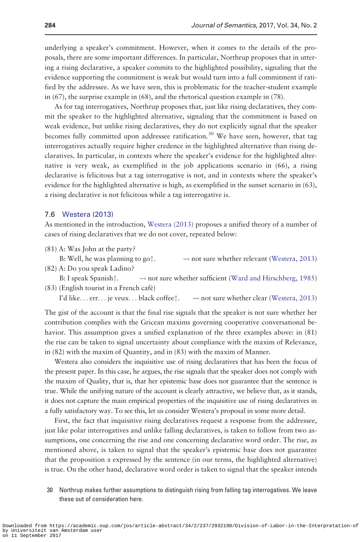underlying a speaker's commitment. However, when it comes to the details of the proposals, there are some important differences. In particular, Northrup proposes that in uttering a rising declarative, a speaker commits to the highlighted possibility, signaling that the evidence supporting the commitment is weak but would turn into a full commitment if ratified by the addressee. As we have seen, this is problematic for the teacher-student example in (67), the surprise example in (68), and the rhetorical question example in (78).

As for tag interrogatives, Northrup proposes that, just like rising declaratives, they commit the speaker to the highlighted alternative, signaling that the commitment is based on weak evidence, but unlike rising declaratives, they do not explicitly signal that the speaker becomes fully committed upon addressee ratification.<sup>30</sup> We have seen, however, that tag interrogatives actually require higher credence in the highlighted alternative than rising declaratives. In particular, in contexts where the speaker's evidence for the highlighted alternative is very weak, as exemplified in the job applications scenario in (66), a rising declarative is felicitous but a tag interrogative is not, and in contexts where the speaker's evidence for the highlighted alternative is high, as exemplified in the sunset scenario in (63), a rising declarative is not felicitous while a tag interrogative is.

#### 7.6 [Westera \(2013\)](#page-53-0)

As mentioned in the introduction, [Westera \(2013\)](#page-53-0) proposes a unified theory of a number of cases of rising declaratives that we do not cover, repeated below:

(81) A: Was John at the party?

B: Well, he was planning to go $\uparrow$ .  $\rightarrow$  not sure whether relevant ([Westera, 2013\)](#page-53-0) (82) A: Do you speak Ladino?

- B: I speak Spanish $\uparrow$ .  $\rightarrow$  not sure whether sufficient [\(Ward and Hirschberg, 1985\)](#page-53-0) (83) (English tourist in a French cafe´)
	- I'd like... err... je veux... black coffee $\uparrow$ .  $\rightarrow$  not sure whether clear ([Westera, 2013\)](#page-53-0)

The gist of the account is that the final rise signals that the speaker is not sure whether her contribution complies with the Gricean maxims governing cooperative conversational behavior. This assumption gives a unified explanation of the three examples above: in (81) the rise can be taken to signal uncertainty about compliance with the maxim of Relevance, in (82) with the maxim of Quantity, and in (83) with the maxim of Manner.

Westera also considers the inquisitive use of rising declaratives that has been the focus of the present paper. In this case, he argues, the rise signals that the speaker does not comply with the maxim of Quality, that is, that her epistemic base does not guarantee that the sentence is true. While the unifying nature of the account is clearly attractive, we believe that, as it stands, it does not capture the main empirical properties of the inquisitive use of rising declaratives in a fully satisfactory way. To see this, let us consider Westera's proposal in some more detail.

First, the fact that inquisitive rising declaratives request a response from the addressee, just like polar interrogatives and unlike falling declaratives, is taken to follow from two assumptions, one concerning the rise and one concerning declarative word order. The rise, as mentioned above, is taken to signal that the speaker's epistemic base does not guarantee that the proposition  $\alpha$  expressed by the sentence (in our terms, the highlighted alternative) is true. On the other hand, declarative word order is taken to signal that the speaker intends

30 Northrup makes further assumptions to distinguish rising from falling tag interrogatives. We leave these out of consideration here.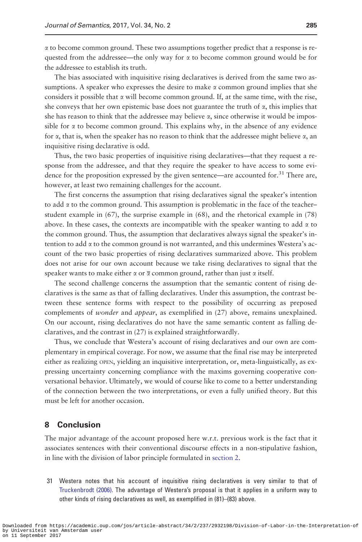$\alpha$  to become common ground. These two assumptions together predict that a response is requested from the addressee—the only way for  $\alpha$  to become common ground would be for the addressee to establish its truth.

The bias associated with inquisitive rising declaratives is derived from the same two assumptions. A speaker who expresses the desire to make  $\alpha$  common ground implies that she considers it possible that  $\alpha$  will become common ground. If, at the same time, with the rise, she conveys that her own epistemic base does not guarantee the truth of  $\alpha$ , this implies that she has reason to think that the addressee may believe  $\alpha$ , since otherwise it would be impossible for  $\alpha$  to become common ground. This explains why, in the absence of any evidence for  $\alpha$ , that is, when the speaker has no reason to think that the addressee might believe  $\alpha$ , an inquisitive rising declarative is odd.

Thus, the two basic properties of inquisitive rising declaratives—that they request a response from the addressee, and that they require the speaker to have access to some evidence for the proposition expressed by the given sentence—are accounted for.<sup>31</sup> There are, however, at least two remaining challenges for the account.

The first concerns the assumption that rising declaratives signal the speaker's intention to add  $\alpha$  to the common ground. This assumption is problematic in the face of the teacher– student example in (67), the surprise example in (68), and the rhetorical example in (78) above. In these cases, the contexts are incompatible with the speaker wanting to add  $\alpha$  to the common ground. Thus, the assumption that declaratives always signal the speaker's intention to add  $\alpha$  to the common ground is not warranted, and this undermines Westera's account of the two basic properties of rising declaratives summarized above. This problem does not arise for our own account because we take rising declaratives to signal that the speaker wants to make either  $\alpha$  or  $\overline{\alpha}$  common ground, rather than just  $\alpha$  itself.

The second challenge concerns the assumption that the semantic content of rising declaratives is the same as that of falling declaratives. Under this assumption, the contrast between these sentence forms with respect to the possibility of occurring as preposed complements of *wonder* and *appear*, as exemplified in (27) above, remains unexplained. On our account, rising declaratives do not have the same semantic content as falling declaratives, and the contrast in (27) is explained straightforwardly.

Thus, we conclude that Westera's account of rising declaratives and our own are complementary in empirical coverage. For now, we assume that the final rise may be interpreted either as realizing OPEN, yielding an inquisitive interpretation, or, meta-linguistically, as expressing uncertainty concerning compliance with the maxims governing cooperative conversational behavior. Ultimately, we would of course like to come to a better understanding of the connection between the two interpretations, or even a fully unified theory. But this must be left for another occasion.

# 8 Conclusion

The major advantage of the account proposed here w.r.t. previous work is the fact that it associates sentences with their conventional discourse effects in a non-stipulative fashion, in line with the division of labor principle formulated in section 2.

31 Westera notes that his account of inquisitive rising declaratives is very similar to that of [Truckenbrodt \(2006\).](#page-53-0) The advantage of Westera's proposal is that it applies in a uniform way to other kinds of rising declaratives as well, as exemplified in (81)–(83) above.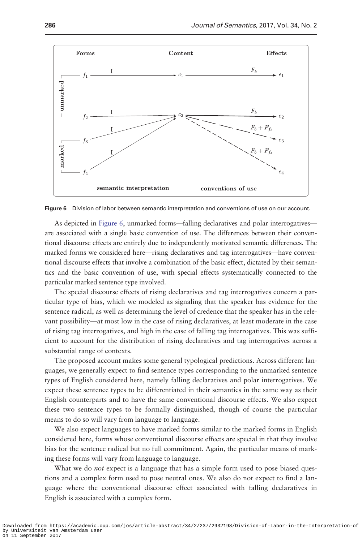

Figure 6 Division of labor between semantic interpretation and conventions of use on our account.

As depicted in Figure 6, unmarked forms—falling declaratives and polar interrogatives are associated with a single basic convention of use. The differences between their conventional discourse effects are entirely due to independently motivated semantic differences. The marked forms we considered here—rising declaratives and tag interrogatives—have conventional discourse effects that involve a combination of the basic effect, dictated by their semantics and the basic convention of use, with special effects systematically connected to the particular marked sentence type involved.

The special discourse effects of rising declaratives and tag interrogatives concern a particular type of bias, which we modeled as signaling that the speaker has evidence for the sentence radical, as well as determining the level of credence that the speaker has in the relevant possibility—at most low in the case of rising declaratives, at least moderate in the case of rising tag interrogatives, and high in the case of falling tag interrogatives. This was sufficient to account for the distribution of rising declaratives and tag interrogatives across a substantial range of contexts.

The proposed account makes some general typological predictions. Across different languages, we generally expect to find sentence types corresponding to the unmarked sentence types of English considered here, namely falling declaratives and polar interrogatives. We expect these sentence types to be differentiated in their semantics in the same way as their English counterparts and to have the same conventional discourse effects. We also expect these two sentence types to be formally distinguished, though of course the particular means to do so will vary from language to language.

We also expect languages to have marked forms similar to the marked forms in English considered here, forms whose conventional discourse effects are special in that they involve bias for the sentence radical but no full commitment. Again, the particular means of marking these forms will vary from language to language.

What we do *not* expect is a language that has a simple form used to pose biased questions and a complex form used to pose neutral ones. We also do not expect to find a language where the conventional discourse effect associated with falling declaratives in English is associated with a complex form.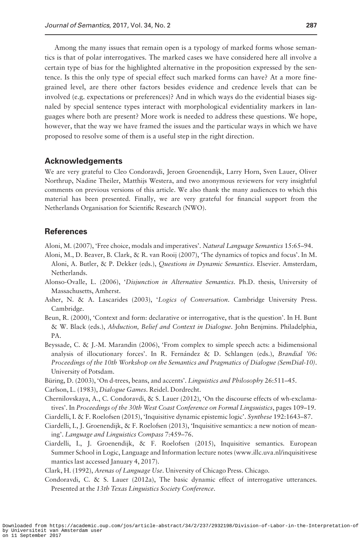<span id="page-51-0"></span>Among the many issues that remain open is a typology of marked forms whose semantics is that of polar interrogatives. The marked cases we have considered here all involve a certain type of bias for the highlighted alternative in the proposition expressed by the sentence. Is this the only type of special effect such marked forms can have? At a more finegrained level, are there other factors besides evidence and credence levels that can be involved (e.g. expectations or preferences)? And in which ways do the evidential biases signaled by special sentence types interact with morphological evidentiality markers in languages where both are present? More work is needed to address these questions. We hope, however, that the way we have framed the issues and the particular ways in which we have proposed to resolve some of them is a useful step in the right direction.

## Acknowledgements

We are very grateful to Cleo Condoravdi, Jeroen Groenendijk, Larry Horn, Sven Lauer, Oliver Northrup, Nadine Theiler, Matthijs Westera, and two anonymous reviewers for very insightful comments on previous versions of this article. We also thank the many audiences to which this material has been presented. Finally, we are very grateful for financial support from the Netherlands Organisation for Scientific Research (NWO).

# **References**

Aloni, M. (2007), 'Free choice, modals and imperatives'. Natural Language Semantics 15:65–94.

- Aloni, M., D. Beaver, B. Clark, & R. van Rooij (2007), 'The dynamics of topics and focus'. In M. Aloni, A. Butler, & P. Dekker (eds.), Questions in Dynamic Semantics. Elsevier. Amsterdam, Netherlands.
- Alonso-Ovalle, L. (2006), 'Disjunction in Alternative Semantics. Ph.D. thesis, University of Massachusetts, Amherst.
- Asher, N. & A. Lascarides (2003), 'Logics of Conversation. Cambridge University Press. Cambridge.
- Beun, R. (2000), 'Context and form: declarative or interrogative, that is the question'. In H. Bunt & W. Black (eds.), Abduction, Belief and Context in Dialogue. John Benjmins. Philadelphia, PA.
- Beyssade, C. & J.-M. Marandin (2006), 'From complex to simple speech acts: a bidimensional analysis of illocutionary forces'. In R. Fernández & D. Schlangen (eds.), Brandial '06: Proceedings of the 10th Workshop on the Semantics and Pragmatics of Dialogue (SemDial-10). University of Potsdam.
- Büring, D.  $(2003)$ , 'On d-trees, beans, and accents'. Linguistics and Philosophy 26:511–45.
- Carlson, L. (1983), Dialogue Games. Reidel. Dordrecht.
- Chernilovskaya, A., C. Condoravdi, & S. Lauer (2012), 'On the discourse effects of wh-exclamatives'. In Proceedings of the 30th West Coast Conference on Formal Lingsuistics, pages 109–19.
- Ciardelli, I. & F. Roelofsen (2015), 'Inquisitive dynamic epistemic logic'. Synthese 192:1643–87.
- Ciardelli, I., J. Groenendijk, & F. Roelofsen (2013), 'Inquisitive semantics: a new notion of meaning'. Language and Linguistics Compass 7:459–76.
- Ciardelli, I., J. Groenendijk, & F. Roelofsen (2015), Inquisitive semantics. European Summer School in Logic, Language and Information lecture notes ([www.illc.uva.nl/inquisitivese](www.illc.uva.nl/inquisitivesemantics) [mantics](www.illc.uva.nl/inquisitivesemantics) last accessed January 4, 2017).

Clark, H. (1992), Arenas of Language Use. University of Chicago Press. Chicago.

Condoravdi, C. & S. Lauer (2012a), The basic dynamic effect of interrogative utterances. Presented at the 13th Texas Linguistics Society Conference.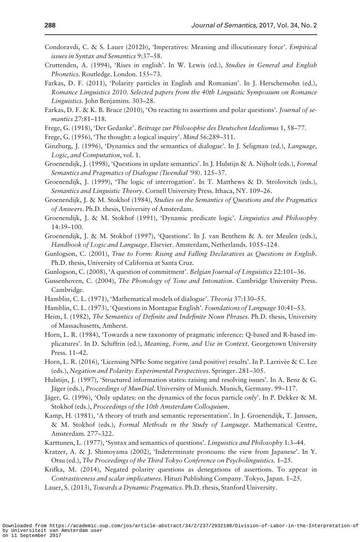- <span id="page-52-0"></span>Condoravdi, C. & S. Lauer (2012b), 'Imperatives: Meaning and illocutionary force'. Empirical issues in Syntax and Semantics 9:37–58.
- Cruttenden, A. (1994), 'Rises in english'. In W. Lewis (ed.), Studies in General and English Phonetics. Routledge. London. 155–73.
- Farkas, D. F. (2011), 'Polarity particles in English and Romanian'. In J. Herschensohn (ed.), Romance Linguistics 2010. Selected papers from the 40th Linguistic Symposium on Romance Linguistics. John Benjamins. 303–28.
- Farkas, D. F. & K. B. Bruce (2010), 'On reacting to assertions and polar questions'. Journal of semantics 27:81–118.
- Frege, G. (1918), 'Der Gedanke'. Beitrage zur Philosophie des Deutschen Idealismus 1, 58–77.
- Frege, G. (1956), 'The thought: a logical inquiry'. Mind 56:289–311.
- Ginzburg, J. (1996), 'Dynamics and the semantics of dialogue'. In J. Seligman (ed.), Language, Logic, and Computation, vol. 1.
- Groenendijk, J. (1998), 'Questions in update semantics'. In J. Hulstijn & A. Nijholt (eds.), Formal Semantics and Pragmatics of Dialogue (Twendial '98). 125–37.
- Groenendijk, J. (1999), 'The logic of interrogation'. In T. Matthews & D. Strolovitch (eds.), Semantics and Linguistic Theory. Cornell University Press. Ithaca, NY. 109–26.
- Groenendijk, J. & M. Stokhof (1984), Studies on the Semantics of Questions and the Pragmatics of Answers. Ph.D. thesis, University of Amsterdam.
- Groenendijk, J. & M. Stokhof (1991), 'Dynamic predicate logic'. Linguistics and Philosophy 14:39–100.
- Groenendijk, J. & M. Stokhof (1997), 'Questions'. In J. van Benthem & A. ter Meulen (eds.), Handbook of Logic and Language. Elsevier. Amsterdam, Netherlands. 1055–124.
- Gunlogson, C. (2001), True to Form: Rising and Falling Declaratives as Questions in English. Ph.D. thesis, University of California at Santa Cruz.
- Gunlogson, C. (2008), 'A question of commitment'. Belgian Journal of Linguistics 22:101–36.
- Gussenhoven, C. (2004), The Phonology of Tone and Intonation. Cambridge University Press. Cambridge.
- Hamblin, C. L. (1971), 'Mathematical models of dialogue'. Theoria 37:130-55.
- Hamblin, C. L. (1973), 'Questions in Montague English'. Foundations of Language 10:41–53.
- Heim, I. (1982), The Semantics of Definite and Indefinite Noun Phrases. Ph.D. thesis, University of Massachusetts, Amherst.
- Horn, L. R. (1984), 'Towards a new taxonomy of pragmatic inference: Q-based and R-based implicatures'. In D. Schiffrin (ed.), Meaning, Form, and Use in Context. Georgetown University Press. 11–42.
- Horn, L. R. (2016), 'Licensing NPIs: Some negative (and positive) results'. In P. Larrivée & C. Lee (eds.), Negation and Polarity: Experimental Perspectives. Springer. 281–305.
- Hulstijn, J. (1997), 'Structured information states: raising and resolving issues'. In A. Benz & G. Jäger (eds.), Proceedings of MunDial. University of Munich. Munich, Germany. 99-117.
- Jäger, G. (1996), 'Only updates: on the dynamics of the focus particle *only*'. In P. Dekker & M. Stokhof (eds.), Proceedings of the 10th Amsterdam Colloquium.
- Kamp, H. (1981), 'A theory of truth and semantic representation'. In J. Groenendijk, T. Janssen, & M. Stokhof (eds.), Formal Methods in the Study of Language. Mathematical Centre, Amsterdam. 277–322.
- Karttunen, L. (1977), 'Syntax and semantics of questions'. Linguistics and Philosophy 1:3–44.
- Kratzer, A. & J. Shimoyama (2002), 'Indeterminate pronouns: the view from Japanese'. In Y. Otsu (ed.), The Proceedings of the Third Tokyo Conference on Psycholinguistics. 1–25.
- Krifka, M. (2014), Negated polarity questions as denegations of assertions. To appear in Contrastiveness and scalar implicatures. Hituzi Publishing Company. Tokyo, Japan. 1–25.
- Lauer, S. (2013), Towards a Dynamic Pragmatics. Ph.D. thesis, Stanford University.